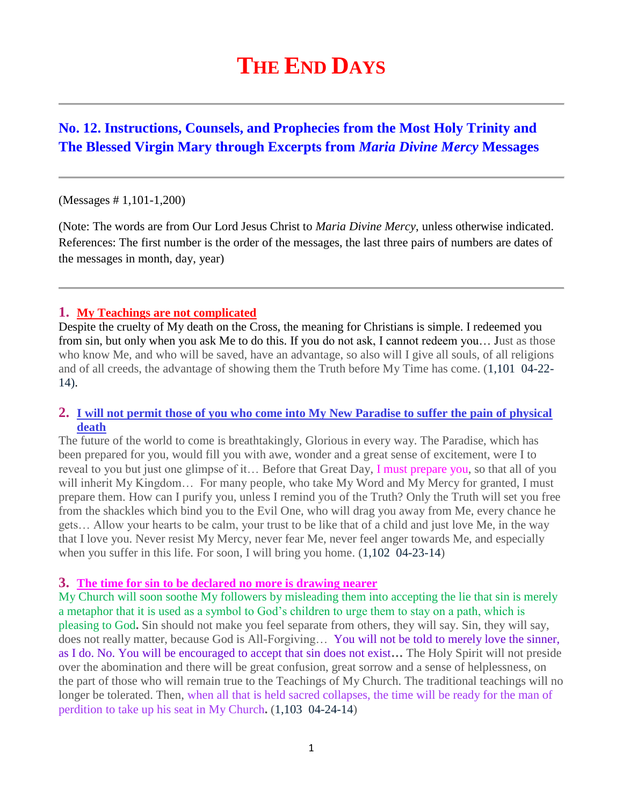# **THE END DAYS**

## **No. 12. Instructions, Counsels, and Prophecies from the Most Holy Trinity and The Blessed Virgin Mary through Excerpts from** *Maria Divine Mercy* **Messages**

#### (Messages # 1,101-1,200)

(Note: The words are from Our Lord Jesus Christ to *Maria Divine Mercy*, unless otherwise indicated. References: The first number is the order of the messages, the last three pairs of numbers are dates of the messages in month, day, year)

#### **1. [My Teachings are not complicated](http://www.thewarningsecondcoming.com/my-teachings-are-not-complicated/)**

Despite the cruelty of My death on the Cross, the meaning for Christians is simple. I redeemed you from sin, but only when you ask Me to do this. If you do not ask, I cannot redeem you… Just as those who know Me, and who will be saved, have an advantage, so also will I give all souls, of all religions and of all creeds, the advantage of showing them the Truth before My Time has come. (1,101 04-22- 14).

#### **2. [I will not permit those of you who come into My New Paradise to suffer the pain of physical](http://www.thewarningsecondcoming.com/mother-of-salvation-the-truth-will-be-twisted-and-the-word-of-god-will-be-presented-back-to-front/)  [death](http://www.thewarningsecondcoming.com/mother-of-salvation-the-truth-will-be-twisted-and-the-word-of-god-will-be-presented-back-to-front/)**

The future of the world to come is breathtakingly, Glorious in every way. The Paradise, which has been prepared for you, would fill you with awe, wonder and a great sense of excitement, were I to reveal to you but just one glimpse of it... Before that Great Day, I must prepare you, so that all of you will inherit My Kingdom... For many people, who take My Word and My Mercy for granted, I must prepare them. How can I purify you, unless I remind you of the Truth? Only the Truth will set you free from the shackles which bind you to the Evil One, who will drag you away from Me, every chance he gets… Allow your hearts to be calm, your trust to be like that of a child and just love Me, in the way that I love you. Never resist My Mercy, never fear Me, never feel anger towards Me, and especially when you suffer in this life. For soon, I will bring you home.  $(1,102 \ 04-23-14)$ 

#### **3. [The time for sin to be declared no more is drawing nearer](http://www.thewarningsecondcoming.com/three-of-out-of-four-will-deny-me/)**

My Church will soon soothe My followers by misleading them into accepting the lie that sin is merely a metaphor that it is used as a symbol to God's children to urge them to stay on a path, which is pleasing to God**.** Sin should not make you feel separate from others, they will say. Sin, they will say, does not really matter, because God is All-Forgiving… You will not be told to merely love the sinner, as I do. No. You will be encouraged to accept that sin does not exist**…** The Holy Spirit will not preside over the abomination and there will be great confusion, great sorrow and a sense of helplessness, on the part of those who will remain true to the Teachings of My Church. The traditional teachings will no longer be tolerated. Then, when all that is held sacred collapses, the time will be ready for the man of perdition to take up his seat in My Church**.** (1,103 04-24-14)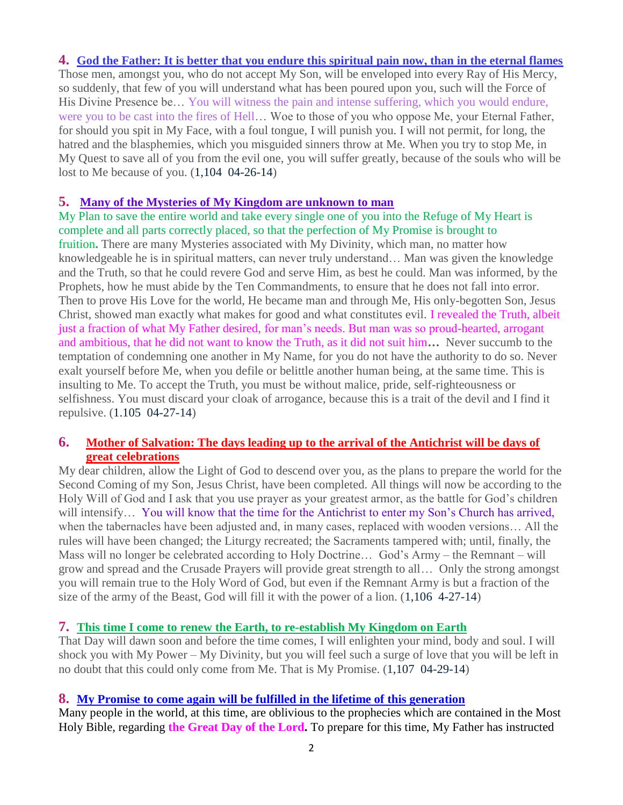#### **4. [God the Father: It is better that you endure this spiritual pain now, than in the eternal flames](http://www.thewarningsecondcoming.com/much-will-be-revealed-to-gods-children-before-the-great-day-of-the-lord/)**

Those men, amongst you, who do not accept My Son, will be enveloped into every Ray of His Mercy, so suddenly, that few of you will understand what has been poured upon you, such will the Force of His Divine Presence be… You will witness the pain and intense suffering, which you would endure, were you to be cast into the fires of Hell… Woe to those of you who oppose Me, your Eternal Father, for should you spit in My Face, with a foul tongue, I will punish you. I will not permit, for long, the hatred and the blasphemies, which you misguided sinners throw at Me. When you try to stop Me, in My Quest to save all of you from the evil one, you will suffer greatly, because of the souls who will be lost to Me because of you. (1,104 04-26-14)

## **5. [Many of the Mysteries of My Kingdom are unknown to man](http://www.thewarningsecondcoming.com/many-of-the-mysteries-of-my-kingdom-are-unknown-to-man/)**

My Plan to save the entire world and take every single one of you into the Refuge of My Heart is complete and all parts correctly placed, so that the perfection of My Promise is brought to fruition**.** There are many Mysteries associated with My Divinity, which man, no matter how knowledgeable he is in spiritual matters, can never truly understand… Man was given the knowledge and the Truth, so that he could revere God and serve Him, as best he could. Man was informed, by the Prophets, how he must abide by the Ten Commandments, to ensure that he does not fall into error. Then to prove His Love for the world, He became man and through Me, His only-begotten Son, Jesus Christ, showed man exactly what makes for good and what constitutes evil. I revealed the Truth, albeit just a fraction of what My Father desired, for man's needs. But man was so proud-hearted, arrogant and ambitious, that he did not want to know the Truth, as it did not suit him**…** Never succumb to the temptation of condemning one another in My Name, for you do not have the authority to do so. Never exalt yourself before Me, when you defile or belittle another human being, at the same time. This is insulting to Me. To accept the Truth, you must be without malice, pride, self-righteousness or selfishness. You must discard your cloak of arrogance, because this is a trait of the devil and I find it repulsive. (1.105 04-27-14)

## **6. [Mother of Salvation: The days leading up to the arrival of the Antichrist will be days of](http://www.thewarningsecondcoming.com/mother-of-salvation-we-first-went-to-judea-and-then-my-son-was-taken-to-india-persia-egypt-greece-and-england/)  [great celebrations](http://www.thewarningsecondcoming.com/mother-of-salvation-we-first-went-to-judea-and-then-my-son-was-taken-to-india-persia-egypt-greece-and-england/)**

My dear children, allow the Light of God to descend over you, as the plans to prepare the world for the Second Coming of my Son, Jesus Christ, have been completed. All things will now be according to the Holy Will of God and I ask that you use prayer as your greatest armor, as the battle for God's children will intensify... You will know that the time for the Antichrist to enter my Son's Church has arrived, when the tabernacles have been adjusted and, in many cases, replaced with wooden versions… All the rules will have been changed; the Liturgy recreated; the Sacraments tampered with; until, finally, the Mass will no longer be celebrated according to Holy Doctrine… God's Army – the Remnant – will grow and spread and the Crusade Prayers will provide great strength to all… Only the strong amongst you will remain true to the Holy Word of God, but even if the Remnant Army is but a fraction of the size of the army of the Beast, God will fill it with the power of a lion. (1,106 4-27-14)

## **7. [This time I come to renew the Earth, to re-establish My Kingdom on Earth](http://www.thewarningsecondcoming.com/if-there-is-but-just-a-shred-of-pride-in-the-soul-the-holy-spirit-will-never-enter-it/)**

That Day will dawn soon and before the time comes, I will enlighten your mind, body and soul. I will shock you with My Power – My Divinity, but you will feel such a surge of love that you will be left in no doubt that this could only come from Me. That is My Promise. (1,107 04-29-14)

#### **8. [My Promise to come again will be fulfilled in the lifetime of this generation](http://www.thewarningsecondcoming.com/you-are-about-to-witness-the-greatest-deceit-ever-inflicted-upon-the-world-by-satan/)**

Many people in the world, at this time, are oblivious to the prophecies which are contained in the Most Holy Bible, regarding **the Great Day of the Lord.** To prepare for this time, My Father has instructed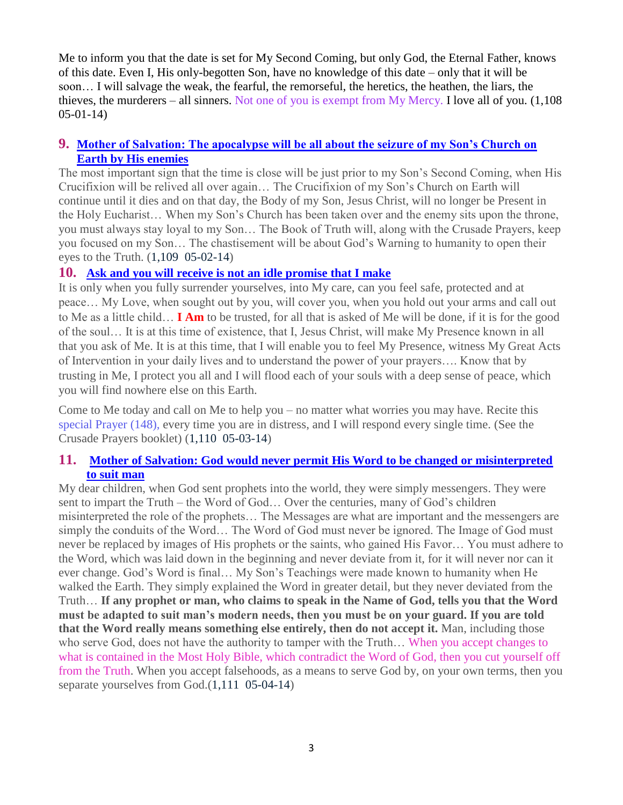Me to inform you that the date is set for My Second Coming, but only God, the Eternal Father, knows of this date. Even I, His only-begotten Son, have no knowledge of this date – only that it will be soon… I will salvage the weak, the fearful, the remorseful, the heretics, the heathen, the liars, the thieves, the murderers – all sinners. Not one of you is exempt from My Mercy. I love all of you. (1,108 05-01-14)

## **9. [Mother of Salvation: The apocalypse will be all about the seizure of my Son's Church on](http://www.thewarningsecondcoming.com/when-my-followers-who-fall-for-the-deceit-to-come-deny-me-this-does-not-mean-they-will-say-i-do-not-believe-in-jesus-no-it-will-mean-this/)  [Earth by His enemies](http://www.thewarningsecondcoming.com/when-my-followers-who-fall-for-the-deceit-to-come-deny-me-this-does-not-mean-they-will-say-i-do-not-believe-in-jesus-no-it-will-mean-this/)**

The most important sign that the time is close will be just prior to my Son's Second Coming, when His Crucifixion will be relived all over again… The Crucifixion of my Son's Church on Earth will continue until it dies and on that day, the Body of my Son, Jesus Christ, will no longer be Present in the Holy Eucharist… When my Son's Church has been taken over and the enemy sits upon the throne, you must always stay loyal to my Son… The Book of Truth will, along with the Crusade Prayers, keep you focused on my Son… The chastisement will be about God's Warning to humanity to open their eyes to the Truth. (1,109 05-02-14)

## **10. [Ask and you will receive is not an idle promise that I make](http://www.thewarningsecondcoming.com/when-you-recite-this-new-litany-during-times-of-great-trials-i-will-grant-you-respite/)**

It is only when you fully surrender yourselves, into My care, can you feel safe, protected and at peace… My Love, when sought out by you, will cover you, when you hold out your arms and call out to Me as a little child… **I Am** to be trusted, for all that is asked of Me will be done, if it is for the good of the soul… It is at this time of existence, that I, Jesus Christ, will make My Presence known in all that you ask of Me. It is at this time, that I will enable you to feel My Presence, witness My Great Acts of Intervention in your daily lives and to understand the power of your prayers…. Know that by trusting in Me, I protect you all and I will flood each of your souls with a deep sense of peace, which you will find nowhere else on this Earth.

Come to Me today and call on Me to help you – no matter what worries you may have. Recite this special Prayer (148), every time you are in distress, and I will respond every single time. (See the Crusade Prayers booklet) (1,110 05-03-14)

## **11. [Mother of Salvation: God would never permit His Word to be changed or misinterpreted](http://www.thewarningsecondcoming.com/my-love-for-humanity-is-whole-i-love-all-including-those-who-commit-the-most-wicked-acts/)  [to suit man](http://www.thewarningsecondcoming.com/my-love-for-humanity-is-whole-i-love-all-including-those-who-commit-the-most-wicked-acts/)**

My dear children, when God sent prophets into the world, they were simply messengers. They were sent to impart the Truth – the Word of God… Over the centuries, many of God's children misinterpreted the role of the prophets… The Messages are what are important and the messengers are simply the conduits of the Word… The Word of God must never be ignored. The Image of God must never be replaced by images of His prophets or the saints, who gained His Favor… You must adhere to the Word, which was laid down in the beginning and never deviate from it, for it will never nor can it ever change. God's Word is final… My Son's Teachings were made known to humanity when He walked the Earth. They simply explained the Word in greater detail, but they never deviated from the Truth… **If any prophet or man, who claims to speak in the Name of God, tells you that the Word must be adapted to suit man's modern needs, then you must be on your guard. If you are told that the Word really means something else entirely, then do not accept it.** Man, including those who serve God, does not have the authority to tamper with the Truth… When you accept changes to what is contained in the Most Holy Bible, which contradict the Word of God, then you cut yourself off from the Truth. When you accept falsehoods, as a means to serve God by, on your own terms, then you separate yourselves from God.(1,111 05-04-14)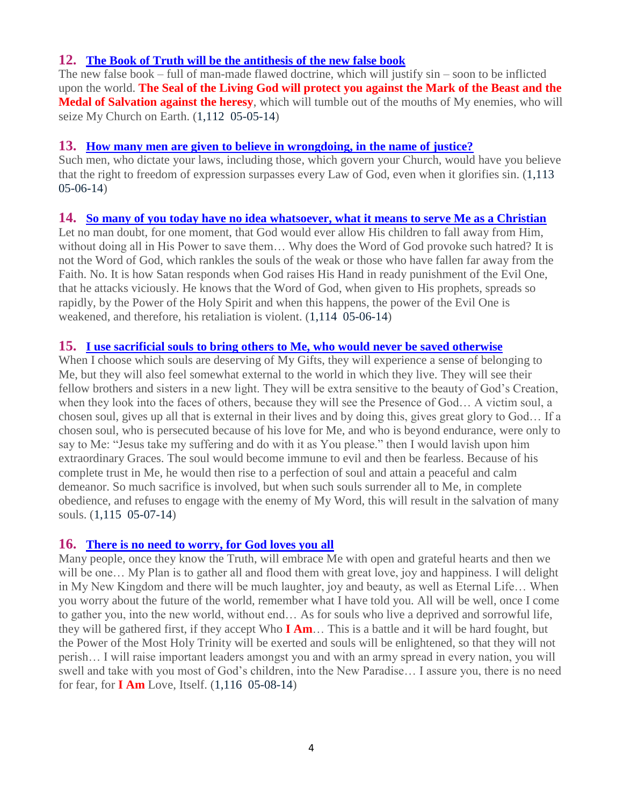## **12. [The Book of Truth will be the antithesis of the new false book](http://www.thewarningsecondcoming.com/the-book-of-truth-will-be-the-antithesis-of-the-new-false-book/)**

The new false book – full of man-made flawed doctrine, which will justify sin – soon to be inflicted upon the world. **The Seal of the Living God will protect you against the Mark of the Beast and the Medal of Salvation against the heresy**, which will tumble out of the mouths of My enemies, who will seize My Church on Earth. (1,112 05-05-14)

#### **13. [How many men are given to believe in wrongdoing, in the name of justice?](http://www.thewarningsecondcoming.com/very-soon-hell-will-be-formally-declared-as-a-place-which-does-not-exist/)**

Such men, who dictate your laws, including those, which govern your Church, would have you believe that the right to freedom of expression surpasses every Law of God, even when it glorifies sin. (1,113 05-06-14)

#### **14. [So many of you today have no idea whatsoever, what it means to serve Me as a Christian](http://www.thewarningsecondcoming.com/god-the-father-i-am-coming-to-gather-the-faithful-my-time-is-soon-as-my-sons-mercy-is-almost-upon-you-2/)**

Let no man doubt, for one moment, that God would ever allow His children to fall away from Him, without doing all in His Power to save them… Why does the Word of God provoke such hatred? It is not the Word of God, which rankles the souls of the weak or those who have fallen far away from the Faith. No. It is how Satan responds when God raises His Hand in ready punishment of the Evil One, that he attacks viciously. He knows that the Word of God, when given to His prophets, spreads so rapidly, by the Power of the Holy Spirit and when this happens, the power of the Evil One is weakened, and therefore, his retaliation is violent. (1,114 05-06-14)

## **15. [I use sacrificial souls to bring others to Me, who would never be saved otherwise](http://www.thewarningsecondcoming.com/when-my-church-upholds-the-word-of-god-you-must-remain-obedient-to-my-church/)**

When I choose which souls are deserving of My Gifts, they will experience a sense of belonging to Me, but they will also feel somewhat external to the world in which they live. They will see their fellow brothers and sisters in a new light. They will be extra sensitive to the beauty of God's Creation, when they look into the faces of others, because they will see the Presence of God… A victim soul, a chosen soul, gives up all that is external in their lives and by doing this, gives great glory to God… If a chosen soul, who is persecuted because of his love for Me, and who is beyond endurance, were only to say to Me: "Jesus take my suffering and do with it as You please." then I would lavish upon him extraordinary Graces. The soul would become immune to evil and then be fearless. Because of his complete trust in Me, he would then rise to a perfection of soul and attain a peaceful and calm demeanor. So much sacrifice is involved, but when such souls surrender all to Me, in complete obedience, and refuses to engage with the enemy of My Word, this will result in the salvation of many souls. (1,115 05-07-14)

## **16. [There is no need to worry, for God loves you all](http://www.thewarningsecondcoming.com/this-new-and-rapidly-created-hierarchy-will-take-over-my-church/)**

Many people, once they know the Truth, will embrace Me with open and grateful hearts and then we will be one... My Plan is to gather all and flood them with great love, joy and happiness. I will delight in My New Kingdom and there will be much laughter, joy and beauty, as well as Eternal Life… When you worry about the future of the world, remember what I have told you. All will be well, once I come to gather you, into the new world, without end… As for souls who live a deprived and sorrowful life, they will be gathered first, if they accept Who **I Am**… This is a battle and it will be hard fought, but the Power of the Most Holy Trinity will be exerted and souls will be enlightened, so that they will not perish… I will raise important leaders amongst you and with an army spread in every nation, you will swell and take with you most of God's children, into the New Paradise… I assure you, there is no need for fear, for **I Am** Love, Itself. (1,116 05-08-14)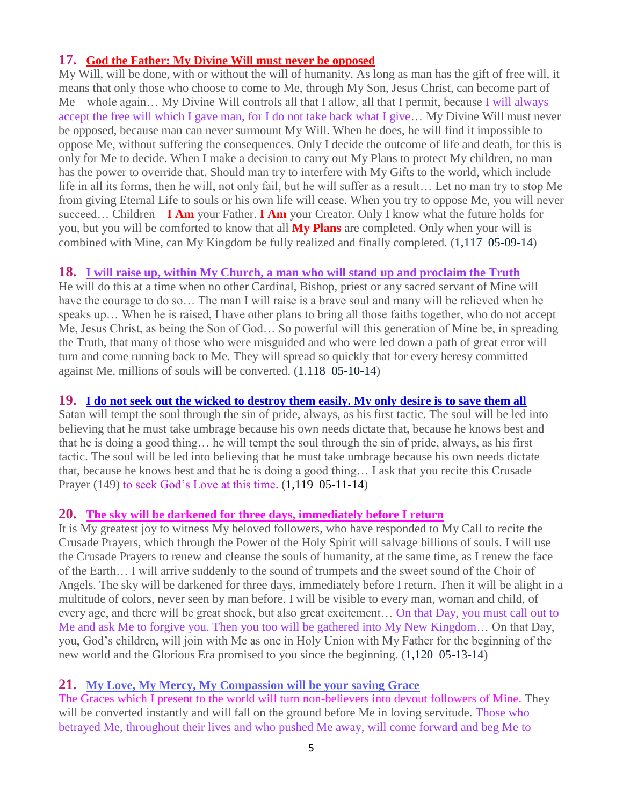## **17. [God the Father: My Divine Will must never be opposed](http://www.thewarningsecondcoming.com/mother-of-salvation-this-final-medal-brought-to-you-by-me-through-the-mercy-of-god-will-draw-billions-of-souls-towards-eternal-life/)**

My Will, will be done, with or without the will of humanity. As long as man has the gift of free will, it means that only those who choose to come to Me, through My Son, Jesus Christ, can become part of Me – whole again... My Divine Will controls all that I allow, all that I permit, because I will always accept the free will which I gave man, for I do not take back what I give… My Divine Will must never be opposed, because man can never surmount My Will. When he does, he will find it impossible to oppose Me, without suffering the consequences. Only I decide the outcome of life and death, for this is only for Me to decide. When I make a decision to carry out My Plans to protect My children, no man has the power to override that. Should man try to interfere with My Gifts to the world, which include life in all its forms, then he will, not only fail, but he will suffer as a result… Let no man try to stop Me from giving Eternal Life to souls or his own life will cease. When you try to oppose Me, you will never succeed… Children – **I Am** your Father. **I Am** your Creator. Only I know what the future holds for you, but you will be comforted to know that all **My Plans** are completed. Only when your will is combined with Mine, can My Kingdom be fully realized and finally completed. (1,117 05-09-14)

## **18. [I will raise up, within My Church, a man who will stand up and proclaim the Truth](http://www.thewarningsecondcoming.com/god-the-father-free-will-given-to-humanity-has-meant-that-many-of-my-children-were-drawn-away-from-me/)**

He will do this at a time when no other Cardinal, Bishop, priest or any sacred servant of Mine will have the courage to do so... The man I will raise is a brave soul and many will be relieved when he speaks up… When he is raised, I have other plans to bring all those faiths together, who do not accept Me, Jesus Christ, as being the Son of God… So powerful will this generation of Mine be, in spreading the Truth, that many of those who were misguided and who were led down a path of great error will turn and come running back to Me. They will spread so quickly that for every heresy committed against Me, millions of souls will be converted. (1.118 05-10-14)

## **19. I [do not seek out the wicked to destroy them easily. My only desire is to save them all](http://www.thewarningsecondcoming.com/mother-of-salvation-these-apparitions-will-begin-this-spring-as-my-son-has-instructed-2/)**

Satan will tempt the soul through the sin of pride, always, as his first tactic. The soul will be led into believing that he must take umbrage because his own needs dictate that, because he knows best and that he is doing a good thing… he will tempt the soul through the sin of pride, always, as his first tactic. The soul will be led into believing that he must take umbrage because his own needs dictate that, because he knows best and that he is doing a good thing… I ask that you recite this Crusade Prayer (149) to seek God's Love at this time. (1,119 05-11-14)

## **20. [The sky will be darkened for three days, immediately before I return](http://www.thewarningsecondcoming.com/my-mothers-role-as-co-redemptrix-will-be-well-and-truly-understood-at-last/)**

It is My greatest joy to witness My beloved followers, who have responded to My Call to recite the Crusade Prayers, which through the Power of the Holy Spirit will salvage billions of souls. I will use the Crusade Prayers to renew and cleanse the souls of humanity, at the same time, as I renew the face of the Earth… I will arrive suddenly to the sound of trumpets and the sweet sound of the Choir of Angels. The sky will be darkened for three days, immediately before I return. Then it will be alight in a multitude of colors, never seen by man before. I will be visible to every man, woman and child, of every age, and there will be great shock, but also great excitement… On that Day, you must call out to Me and ask Me to forgive you. Then you too will be gathered into My New Kingdom… On that Day, you, God's children, will join with Me as one in Holy Union with My Father for the beginning of the new world and the Glorious Era promised to you since the beginning. (1,120 05-13-14)

## **21. [My Love, My Mercy, My Compassion will be your saving Grace](http://www.thewarningsecondcoming.com/my-love-my-mercy-my-compassion-will-be-your-saving-grace/)**

The Graces which I present to the world will turn non-believers into devout followers of Mine. They will be converted instantly and will fall on the ground before Me in loving servitude. Those who betrayed Me, throughout their lives and who pushed Me away, will come forward and beg Me to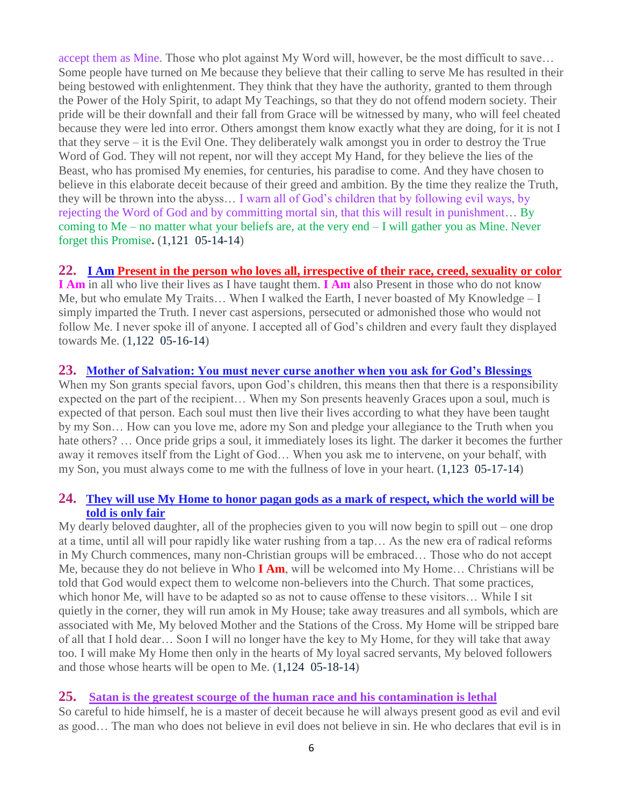accept them as Mine. Those who plot against My Word will, however, be the most difficult to save… Some people have turned on Me because they believe that their calling to serve Me has resulted in their being bestowed with enlightenment. They think that they have the authority, granted to them through the Power of the Holy Spirit, to adapt My Teachings, so that they do not offend modern society. Their pride will be their downfall and their fall from Grace will be witnessed by many, who will feel cheated because they were led into error. Others amongst them know exactly what they are doing, for it is not I that they serve – it is the Evil One. They deliberately walk amongst you in order to destroy the True Word of God. They will not repent, nor will they accept My Hand, for they believe the lies of the Beast, who has promised My enemies, for centuries, his paradise to come. And they have chosen to believe in this elaborate deceit because of their greed and ambition. By the time they realize the Truth, they will be thrown into the abyss… I warn all of God's children that by following evil ways, by rejecting the Word of God and by committing mortal sin, that this will result in punishment… By coming to Me – no matter what your beliefs are, at the very end – I will gather you as Mine. Never forget this Promise**.** (1,121 05-14-14)

## **22. I Am [Present in the person who loves all, irrespective of their race, creed, sexuality or color](http://www.thewarningsecondcoming.com/the-plan-to-remove-every-trace-of-me-has-commenced/)**

**I Am** in all who live their lives as I have taught them. **I Am** also Present in those who do not know Me, but who emulate My Traits… When I walked the Earth, I never boasted of My Knowledge – I simply imparted the Truth. I never cast aspersions, persecuted or admonished those who would not follow Me. I never spoke ill of anyone. I accepted all of God's children and every fault they displayed towards Me. (1,122 05-16-14)

#### **23. [Mother of Salvation: You must never curse another when you ask for God's Blessings](http://www.thewarningsecondcoming.com/god-the-father-i-have-waited-patiently-a-very-long-time-to-gather-my-children-again-into-my-holy-will/)**

When my Son grants special favors, upon God's children, this means then that there is a responsibility expected on the part of the recipient… When my Son presents heavenly Graces upon a soul, much is expected of that person. Each soul must then live their lives according to what they have been taught by my Son… How can you love me, adore my Son and pledge your allegiance to the Truth when you hate others? ... Once pride grips a soul, it immediately loses its light. The darker it becomes the further away it removes itself from the Light of God… When you ask me to intervene, on your behalf, with my Son, you must always come to me with the fullness of love in your heart. (1,123 05-17-14)

#### **24. [They will use My Home to honor pagan gods as a mark of respect, which the world will be](http://www.thewarningsecondcoming.com/today-fewer-people-than-ever-believe-in-the-word-of-god/)  [told is only fair](http://www.thewarningsecondcoming.com/today-fewer-people-than-ever-believe-in-the-word-of-god/)**

My dearly beloved daughter, all of the prophecies given to you will now begin to spill out – one drop at a time, until all will pour rapidly like water rushing from a tap… As the new era of radical reforms in My Church commences, many non-Christian groups will be embraced… Those who do not accept Me, because they do not believe in Who **I Am**, will be welcomed into My Home… Christians will be told that God would expect them to welcome non-believers into the Church. That some practices, which honor Me, will have to be adapted so as not to cause offense to these visitors… While I sit quietly in the corner, they will run amok in My House; take away treasures and all symbols, which are associated with Me, My beloved Mother and the Stations of the Cross. My Home will be stripped bare of all that I hold dear… Soon I will no longer have the key to My Home, for they will take that away too. I will make My Home then only in the hearts of My loyal sacred servants, My beloved followers and those whose hearts will be open to Me. (1,124 05-18-14)

## **25. [Satan is the greatest scourge of the human race and his contamination is lethal](http://www.thewarningsecondcoming.com/satan-is-the-greatest-scourge-of-the-human-race-and-his-contamination-is-lethal/)**

So careful to hide himself, he is a master of deceit because he will always present good as evil and evil as good… The man who does not believe in evil does not believe in sin. He who declares that evil is in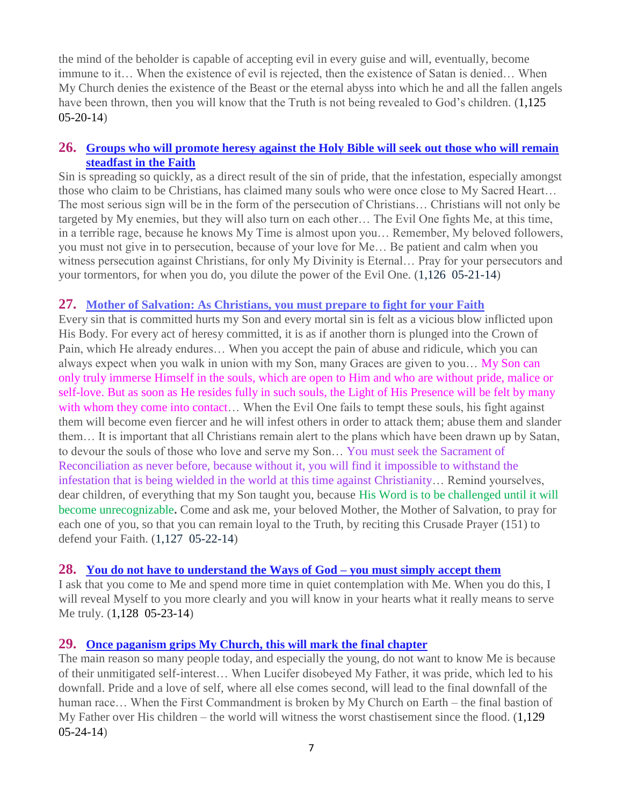the mind of the beholder is capable of accepting evil in every guise and will, eventually, become immune to it… When the existence of evil is rejected, then the existence of Satan is denied… When My Church denies the existence of the Beast or the eternal abyss into which he and all the fallen angels have been thrown, then you will know that the Truth is not being revealed to God's children. (1,125) 05-20-14)

## **26. [Groups who will promote heresy against the Holy Bible will seek out those who will remain](http://www.thewarningsecondcoming.com/groups-who-will-promote-heresy-against-the-holy-bible-will-seek-out-those-who-will-remain-steadfast-in-the-faith/)  [steadfast in the Faith](http://www.thewarningsecondcoming.com/groups-who-will-promote-heresy-against-the-holy-bible-will-seek-out-those-who-will-remain-steadfast-in-the-faith/)**

Sin is spreading so quickly, as a direct result of the sin of pride, that the infestation, especially amongst those who claim to be Christians, has claimed many souls who were once close to My Sacred Heart… The most serious sign will be in the form of the persecution of Christians… Christians will not only be targeted by My enemies, but they will also turn on each other… The Evil One fights Me, at this time, in a terrible rage, because he knows My Time is almost upon you… Remember, My beloved followers, you must not give in to persecution, because of your love for Me… Be patient and calm when you witness persecution against Christians, for only My Divinity is Eternal… Pray for your persecutors and your tormentors, for when you do, you dilute the power of the Evil One. (1,126 05-21-14)

## **27. [Mother of Salvation: As Christians, you must prepare to fight for](http://www.thewarningsecondcoming.com/mother-of-salvation-as-christians-you-must-prepare-to-fight-for-your-faith/) your Faith**

Every sin that is committed hurts my Son and every mortal sin is felt as a vicious blow inflicted upon His Body. For every act of heresy committed, it is as if another thorn is plunged into the Crown of Pain, which He already endures… When you accept the pain of abuse and ridicule, which you can always expect when you walk in union with my Son, many Graces are given to you… My Son can only truly immerse Himself in the souls, which are open to Him and who are without pride, malice or self-love. But as soon as He resides fully in such souls, the Light of His Presence will be felt by many with whom they come into contact... When the Evil One fails to tempt these souls, his fight against them will become even fiercer and he will infest others in order to attack them; abuse them and slander them… It is important that all Christians remain alert to the plans which have been drawn up by Satan, to devour the souls of those who love and serve my Son… You must seek the Sacrament of Reconciliation as never before, because without it, you will find it impossible to withstand the infestation that is being wielded in the world at this time against Christianity… Remind yourselves, dear children, of everything that my Son taught you, because His Word is to be challenged until it will become unrecognizable**.** Come and ask me, your beloved Mother, the Mother of Salvation, to pray for each one of you, so that you can remain loyal to the Truth, by reciting this Crusade Prayer (151) to defend your Faith. (1,127 05-22-14)

## **28. [You do not have to understand the Ways of God –](http://www.thewarningsecondcoming.com/you-do-not-have-to-understand-the-ways-of-god-you-must-simply-accept-them/) you must simply accept them**

I ask that you come to Me and spend more time in quiet contemplation with Me. When you do this, I will reveal Myself to you more clearly and you will know in your hearts what it really means to serve Me truly. (1,128 05-23-14)

## **29. [Once paganism grips My Church, this will mark the final chapter](http://www.thewarningsecondcoming.com/once-paganism-grips-my-church-this-will-mark-the-final-chapter/)**

The main reason so many people today, and especially the young, do not want to know Me is because of their unmitigated self-interest… When Lucifer disobeyed My Father, it was pride, which led to his downfall. Pride and a love of self, where all else comes second, will lead to the final downfall of the human race… When the First Commandment is broken by My Church on Earth – the final bastion of My Father over His children – the world will witness the worst chastisement since the flood. (1,129 05-24-14)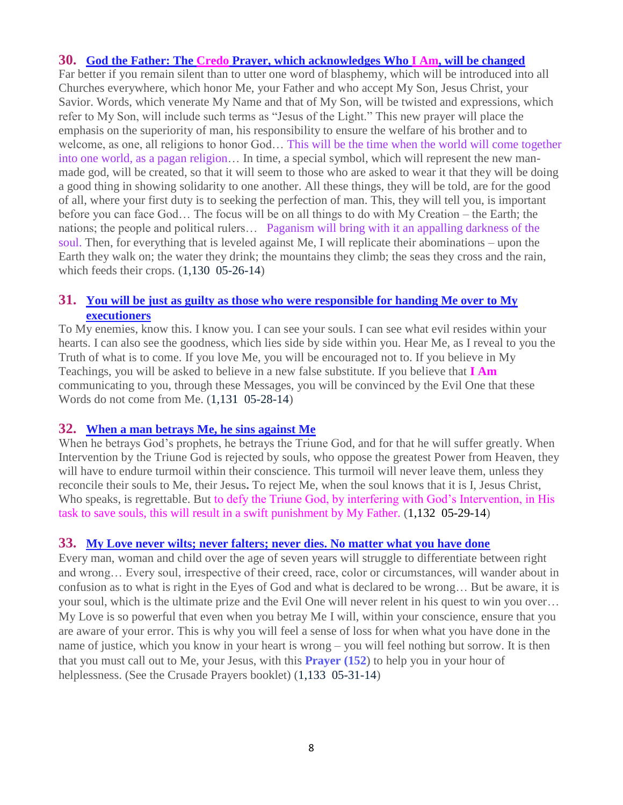#### **30. God the Father: The Credo [Prayer, which acknowledges Who I Am, will be changed](http://www.thewarningsecondcoming.com/god-the-father-the-credo-prayer-which-acknowledges-who-i-am-will-be-changed/)**

Far better if you remain silent than to utter one word of blasphemy, which will be introduced into all Churches everywhere, which honor Me, your Father and who accept My Son, Jesus Christ, your Savior. Words, which venerate My Name and that of My Son, will be twisted and expressions, which refer to My Son, will include such terms as "Jesus of the Light." This new prayer will place the emphasis on the superiority of man, his responsibility to ensure the welfare of his brother and to welcome, as one, all religions to honor God… This will be the time when the world will come together into one world, as a pagan religion… In time, a special symbol, which will represent the new manmade god, will be created, so that it will seem to those who are asked to wear it that they will be doing a good thing in showing solidarity to one another. All these things, they will be told, are for the good of all, where your first duty is to seeking the perfection of man. This, they will tell you, is important before you can face God… The focus will be on all things to do with My Creation – the Earth; the nations; the people and political rulers… Paganism will bring with it an appalling darkness of the soul. Then, for everything that is leveled against Me, I will replicate their abominations – upon the Earth they walk on; the water they drink; the mountains they climb; the seas they cross and the rain, which feeds their crops. (1,130 05-26-14)

## **31. [You will be just as guilty as those who were responsible for handing Me over to My](http://www.thewarningsecondcoming.com/you-will-be-just-as-guilty-as-those-who-were-responsible-for-handing-me-over-to-my-executioners/)  [executioners](http://www.thewarningsecondcoming.com/you-will-be-just-as-guilty-as-those-who-were-responsible-for-handing-me-over-to-my-executioners/)**

To My enemies, know this. I know you. I can see your souls. I can see what evil resides within your hearts. I can also see the goodness, which lies side by side within you. Hear Me, as I reveal to you the Truth of what is to come. If you love Me, you will be encouraged not to. If you believe in My Teachings, you will be asked to believe in a new false substitute. If you believe that **I Am** communicating to you, through these Messages, you will be convinced by the Evil One that these Words do not come from Me. (1,131 05-28-14)

#### **32. [When a man betrays Me, he sins against Me](http://www.thewarningsecondcoming.com/when-a-man-betrays-me-he-sins-against-me/)**

When he betrays God's prophets, he betrays the Triune God, and for that he will suffer greatly. When Intervention by the Triune God is rejected by souls, who oppose the greatest Power from Heaven, they will have to endure turmoil within their conscience. This turmoil will never leave them, unless they reconcile their souls to Me, their Jesus**.** To reject Me, when the soul knows that it is I, Jesus Christ, Who speaks, is regrettable. But to defy the Triune God, by interfering with God's Intervention, in His task to save souls, this will result in a swift punishment by My Father. (1,132 05-29-14)

#### **33. [My Love never wilts; never falters; never dies. No matter what you have done](http://www.thewarningsecondcoming.com/my-love-never-wilts-never-falters-never-dies-no-matter-what-you-have-done/)**

Every man, woman and child over the age of seven years will struggle to differentiate between right and wrong… Every soul, irrespective of their creed, race, color or circumstances, will wander about in confusion as to what is right in the Eyes of God and what is declared to be wrong… But be aware, it is your soul, which is the ultimate prize and the Evil One will never relent in his quest to win you over… My Love is so powerful that even when you betray Me I will, within your conscience, ensure that you are aware of your error. This is why you will feel a sense of loss for when what you have done in the name of justice, which you know in your heart is wrong – you will feel nothing but sorrow. It is then that you must call out to Me, your Jesus, with this **Prayer (152**) to help you in your hour of helplessness. (See the Crusade Prayers booklet) (1,133 05-31-14)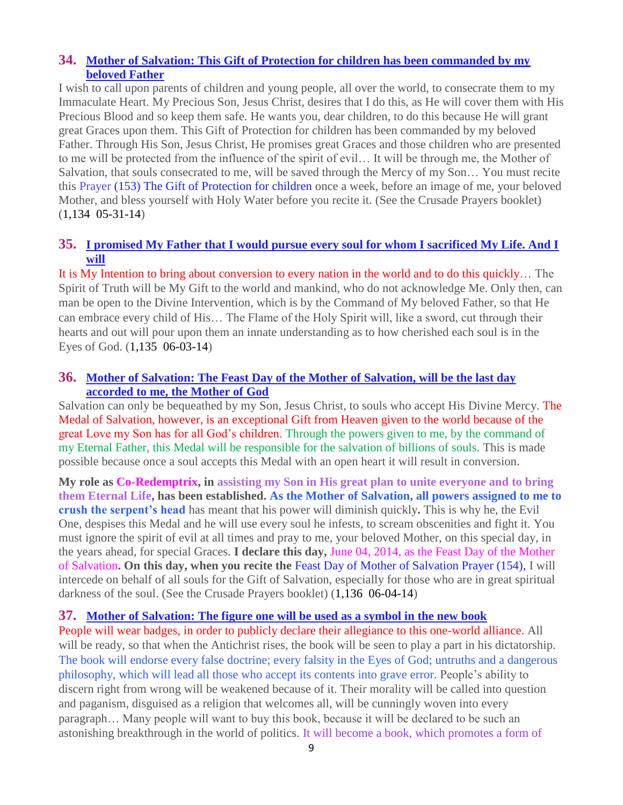## **34. [Mother of Salvation: This Gift of Protection for children has been commanded by my](http://www.thewarningsecondcoming.com/mother-of-salvation-this-gift-of-protection-for-children-has-been-commanded-by-my-beloved-father/)  [beloved Father](http://www.thewarningsecondcoming.com/mother-of-salvation-this-gift-of-protection-for-children-has-been-commanded-by-my-beloved-father/)**

I wish to call upon parents of children and young people, all over the world, to consecrate them to my Immaculate Heart. My Precious Son, Jesus Christ, desires that I do this, as He will cover them with His Precious Blood and so keep them safe. He wants you, dear children, to do this because He will grant great Graces upon them. This Gift of Protection for children has been commanded by my beloved Father. Through His Son, Jesus Christ, He promises great Graces and those children who are presented to me will be protected from the influence of the spirit of evil… It will be through me, the Mother of Salvation, that souls consecrated to me, will be saved through the Mercy of my Son… You must recite this Prayer (153) The Gift of Protection for children once a week, before an image of me, your beloved Mother, and bless yourself with Holy Water before you recite it. (See the Crusade Prayers booklet) (1,134 05-31-14)

## **35. [I promised My Father that I would pursue every soul for whom I sacrificed My Life. And I](http://www.thewarningsecondcoming.com/i-promised-my-father-that-i-would-pursue-every-soul-for-whom-i-sacrificed-my-life-and-i-will/)  [will](http://www.thewarningsecondcoming.com/i-promised-my-father-that-i-would-pursue-every-soul-for-whom-i-sacrificed-my-life-and-i-will/)**

It is My Intention to bring about conversion to every nation in the world and to do this quickly… The Spirit of Truth will be My Gift to the world and mankind, who do not acknowledge Me. Only then, can man be open to the Divine Intervention, which is by the Command of My beloved Father, so that He can embrace every child of His… The Flame of the Holy Spirit will, like a sword, cut through their hearts and out will pour upon them an innate understanding as to how cherished each soul is in the Eyes of God. (1,135 06-03-14)

#### **36. [Mother of Salvation: The Feast Day of the Mother of Salvation, will be the last day](http://www.thewarningsecondcoming.com/mother-of-salvation-the-feast-day-of-the-mother-of-salvation-will-be-the-last-day-accorded-to-me-the-mother-of-god/)  [accorded to me, the Mother of God](http://www.thewarningsecondcoming.com/mother-of-salvation-the-feast-day-of-the-mother-of-salvation-will-be-the-last-day-accorded-to-me-the-mother-of-god/)**

Salvation can only be bequeathed by my Son, Jesus Christ, to souls who accept His Divine Mercy. The Medal of Salvation, however, is an exceptional Gift from Heaven given to the world because of the great Love my Son has for all God's children. Through the powers given to me, by the command of my Eternal Father, this Medal will be responsible for the salvation of billions of souls. This is made possible because once a soul accepts this Medal with an open heart it will result in conversion.

**My role as Co-Redemptrix, in assisting my Son in His great plan to unite everyone and to bring them Eternal Life, has been established. As the Mother of Salvation, all powers assigned to me to crush the serpent's head** has meant that his power will diminish quickly**.** This is why he, the Evil One, despises this Medal and he will use every soul he infests, to scream obscenities and fight it. You must ignore the spirit of evil at all times and pray to me, your beloved Mother, on this special day, in the years ahead, for special Graces. **I declare this day,** June 04, 2014, as the Feast Day of the Mother of Salvation**. On this day, when you recite the** Feast Day of Mother of Salvation Prayer (154), I will intercede on behalf of all souls for the Gift of Salvation, especially for those who are in great spiritual darkness of the soul. (See the Crusade Prayers booklet) (1,136 06-04-14)

#### **37. [Mother of Salvation: The figure one will be used as a symbol in the new book](http://www.thewarningsecondcoming.com/mother-of-salvation-the-figure-one-will-be-used-as-a-symbol-in-the-new-book/)**

People will wear badges, in order to publicly declare their allegiance to this one-world alliance. All will be ready, so that when the Antichrist rises, the book will be seen to play a part in his dictatorship. The book will endorse every false doctrine; every falsity in the Eyes of God; untruths and a dangerous philosophy, which will lead all those who accept its contents into grave error. People's ability to discern right from wrong will be weakened because of it. Their morality will be called into question and paganism, disguised as a religion that welcomes all, will be cunningly woven into every paragraph… Many people will want to buy this book, because it will be declared to be such an astonishing breakthrough in the world of politics. It will become a book, which promotes a form of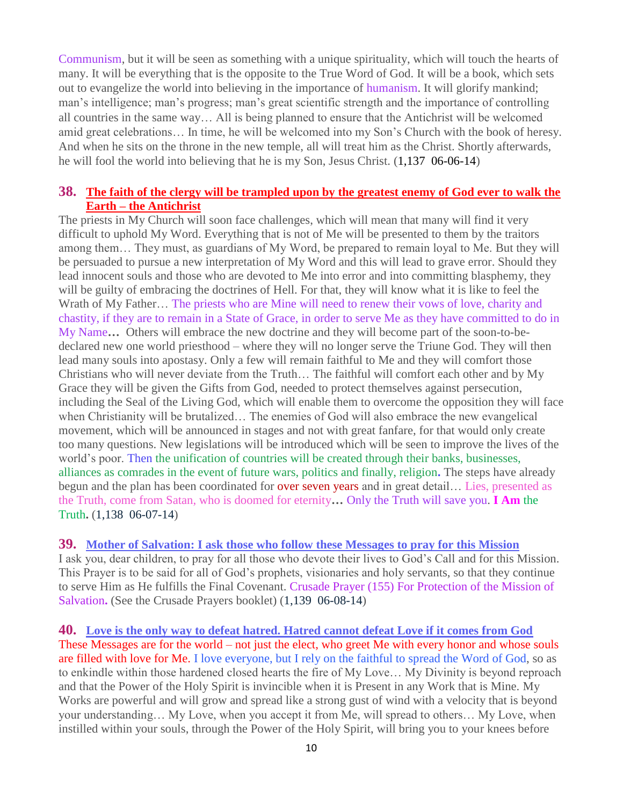Communism, but it will be seen as something with a unique spirituality, which will touch the hearts of many. It will be everything that is the opposite to the True Word of God. It will be a book, which sets out to evangelize the world into believing in the importance of humanism. It will glorify mankind; man's intelligence; man's progress; man's great scientific strength and the importance of controlling all countries in the same way… All is being planned to ensure that the Antichrist will be welcomed amid great celebrations… In time, he will be welcomed into my Son's Church with the book of heresy. And when he sits on the throne in the new temple, all will treat him as the Christ. Shortly afterwards, he will fool the world into believing that he is my Son, Jesus Christ. (1,137 06-06-14)

## **38. [The faith of the clergy will be trampled upon by the greatest enemy of God ever to walk the](http://www.thewarningsecondcoming.com/the-faith-of-the-clergy-will-be-trampled-upon-by-the-greatest-enemy-of-the-god-ever-to-walk-the-earth-the-antichrist/)  Earth – [the Antichrist](http://www.thewarningsecondcoming.com/the-faith-of-the-clergy-will-be-trampled-upon-by-the-greatest-enemy-of-the-god-ever-to-walk-the-earth-the-antichrist/)**

The priests in My Church will soon face challenges, which will mean that many will find it very difficult to uphold My Word. Everything that is not of Me will be presented to them by the traitors among them… They must, as guardians of My Word, be prepared to remain loyal to Me. But they will be persuaded to pursue a new interpretation of My Word and this will lead to grave error. Should they lead innocent souls and those who are devoted to Me into error and into committing blasphemy, they will be guilty of embracing the doctrines of Hell. For that, they will know what it is like to feel the Wrath of My Father… The priests who are Mine will need to renew their vows of love, charity and chastity, if they are to remain in a State of Grace, in order to serve Me as they have committed to do in My Name**…** Others will embrace the new doctrine and they will become part of the soon-to-bedeclared new one world priesthood – where they will no longer serve the Triune God. They will then lead many souls into apostasy. Only a few will remain faithful to Me and they will comfort those Christians who will never deviate from the Truth… The faithful will comfort each other and by My Grace they will be given the Gifts from God, needed to protect themselves against persecution, including the Seal of the Living God, which will enable them to overcome the opposition they will face when Christianity will be brutalized… The enemies of God will also embrace the new evangelical movement, which will be announced in stages and not with great fanfare, for that would only create too many questions. New legislations will be introduced which will be seen to improve the lives of the world's poor. Then the unification of countries will be created through their banks, businesses, alliances as comrades in the event of future wars, politics and finally, religion**.** The steps have already begun and the plan has been coordinated for over seven years and in great detail… Lies, presented as the Truth, come from Satan, who is doomed for eternity**…** Only the Truth will save you. **I Am** the Truth**.** (1,138 06-07-14)

**39. [Mother of Salvation: I ask those who follow these Messages to pray for this Mission](http://www.thewarningsecondcoming.com/mother-of-salvation-i-ask-those-who-follow-these-messages-to-pray-for-this-mission/)**

I ask you, dear children, to pray for all those who devote their lives to God's Call and for this Mission. This Prayer is to be said for all of God's prophets, visionaries and holy servants, so that they continue to serve Him as He fulfills the Final Covenant. Crusade Prayer (155) For Protection of the Mission of Salvation**.** (See the Crusade Prayers booklet) (1,139 06-08-14)

**40. [Love is the only way to defeat hatred. Hatred cannot defeat Love if it comes from God](http://www.thewarningsecondcoming.com/love-is-the-only-way-to-defeat-hatred-hatred-cannot-defeat-love-if-it-comes-from-god/)** These Messages are for the world – not just the elect, who greet Me with every honor and whose souls are filled with love for Me. I love everyone, but I rely on the faithful to spread the Word of God, so as to enkindle within those hardened closed hearts the fire of My Love… My Divinity is beyond reproach and that the Power of the Holy Spirit is invincible when it is Present in any Work that is Mine. My Works are powerful and will grow and spread like a strong gust of wind with a velocity that is beyond your understanding… My Love, when you accept it from Me, will spread to others… My Love, when instilled within your souls, through the Power of the Holy Spirit, will bring you to your knees before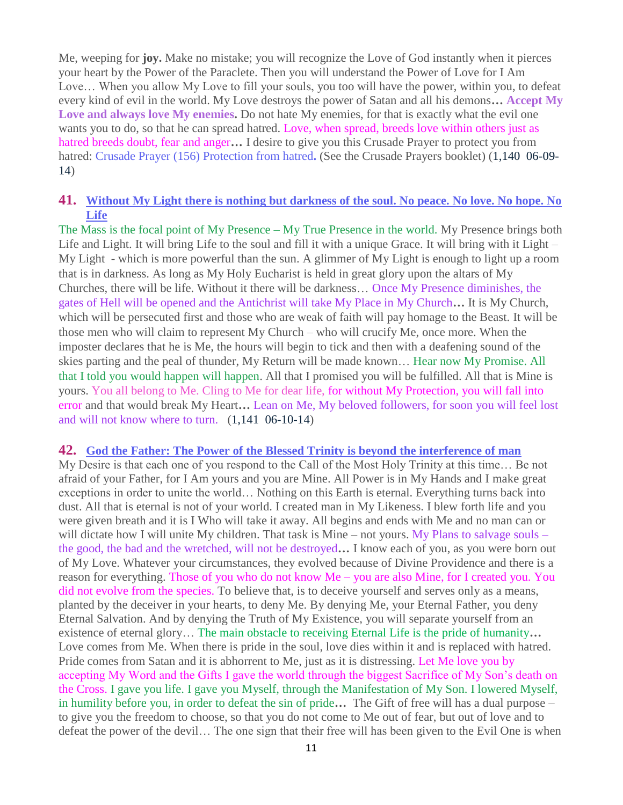Me, weeping for **joy.** Make no mistake; you will recognize the Love of God instantly when it pierces your heart by the Power of the Paraclete. Then you will understand the Power of Love for I Am Love… When you allow My Love to fill your souls, you too will have the power, within you, to defeat every kind of evil in the world. My Love destroys the power of Satan and all his demons**… Accept My Love and always love My enemies.** Do not hate My enemies, for that is exactly what the evil one wants you to do, so that he can spread hatred. Love, when spread, breeds love within others just as hatred breeds doubt, fear and anger**…** I desire to give you this Crusade Prayer to protect you from hatred: Crusade Prayer (156) Protection from hatred**.** (See the Crusade Prayers booklet) (1,140 06-09- 14)

#### **41. [Without My Light there is nothing but darkness of the soul. No peace. No love. No hope. No](http://www.thewarningsecondcoming.com/without-my-light-there-is-nothing-but-darkness-of-the-soul-no-peace-no-love-no-hope-no-life/)  [Life](http://www.thewarningsecondcoming.com/without-my-light-there-is-nothing-but-darkness-of-the-soul-no-peace-no-love-no-hope-no-life/)**

The Mass is the focal point of My Presence – My True Presence in the world. My Presence brings both Life and Light. It will bring Life to the soul and fill it with a unique Grace. It will bring with it Light – My Light - which is more powerful than the sun. A glimmer of My Light is enough to light up a room that is in darkness. As long as My Holy Eucharist is held in great glory upon the altars of My Churches, there will be life. Without it there will be darkness… Once My Presence diminishes, the gates of Hell will be opened and the Antichrist will take My Place in My Church**…** It is My Church, which will be persecuted first and those who are weak of faith will pay homage to the Beast. It will be those men who will claim to represent My Church – who will crucify Me, once more. When the imposter declares that he is Me, the hours will begin to tick and then with a deafening sound of the skies parting and the peal of thunder, My Return will be made known… Hear now My Promise. All that I told you would happen will happen. All that I promised you will be fulfilled. All that is Mine is yours. You all belong to Me. Cling to Me for dear life, for without My Protection, you will fall into error and that would break My Heart**…** Lean on Me, My beloved followers, for soon you will feel lost and will not know where to turn. (1,141 06-10-14)

#### **42. [God the Father: The Power of the Blessed Trinity is beyond the interference of man](http://www.thewarningsecondcoming.com/god-the-father-the-power-of-the-blessed-trinity-is-beyond-the-interference-of-man-2/)**

My Desire is that each one of you respond to the Call of the Most Holy Trinity at this time… Be not afraid of your Father, for I Am yours and you are Mine. All Power is in My Hands and I make great exceptions in order to unite the world… Nothing on this Earth is eternal. Everything turns back into dust. All that is eternal is not of your world. I created man in My Likeness. I blew forth life and you were given breath and it is I Who will take it away. All begins and ends with Me and no man can or will dictate how I will unite My children. That task is Mine – not yours. My Plans to salvage souls – the good, the bad and the wretched, will not be destroyed**…** I know each of you, as you were born out of My Love. Whatever your circumstances, they evolved because of Divine Providence and there is a reason for everything. Those of you who do not know Me – you are also Mine, for I created you. You did not evolve from the species. To believe that, is to deceive yourself and serves only as a means, planted by the deceiver in your hearts, to deny Me. By denying Me, your Eternal Father, you deny Eternal Salvation. And by denying the Truth of My Existence, you will separate yourself from an existence of eternal glory… The main obstacle to receiving Eternal Life is the pride of humanity**…**  Love comes from Me. When there is pride in the soul, love dies within it and is replaced with hatred. Pride comes from Satan and it is abhorrent to Me, just as it is distressing. Let Me love you by accepting My Word and the Gifts I gave the world through the biggest Sacrifice of My Son's death on the Cross. I gave you life. I gave you Myself, through the Manifestation of My Son. I lowered Myself, in humility before you, in order to defeat the sin of pride**…** The Gift of free will has a dual purpose – to give you the freedom to choose, so that you do not come to Me out of fear, but out of love and to defeat the power of the devil… The one sign that their free will has been given to the Evil One is when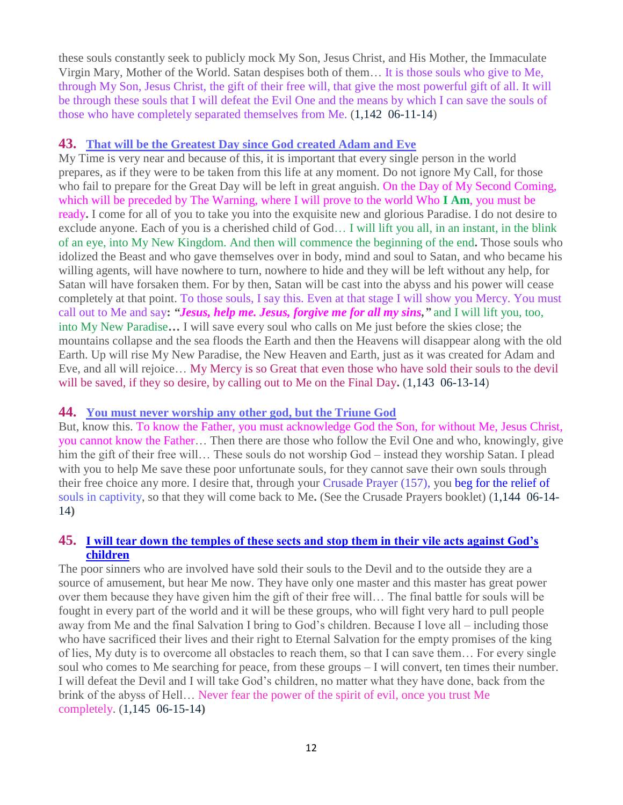these souls constantly seek to publicly mock My Son, Jesus Christ, and His Mother, the Immaculate Virgin Mary, Mother of the World. Satan despises both of them… It is those souls who give to Me, through My Son, Jesus Christ, the gift of their free will, that give the most powerful gift of all. It will be through these souls that I will defeat the Evil One and the means by which I can save the souls of those who have completely separated themselves from Me. (1,142 06-11-14)

#### **43. [That will be the Greatest Day since God created Adam and](http://www.thewarningsecondcoming.com/that-will-be-the-greatest-day-since-god-created-adam-and-eve/) Eve**

My Time is very near and because of this, it is important that every single person in the world prepares, as if they were to be taken from this life at any moment. Do not ignore My Call, for those who fail to prepare for the Great Day will be left in great anguish. On the Day of My Second Coming, which will be preceded by The Warning, where I will prove to the world Who **I Am**, you must be ready**.** I come for all of you to take you into the exquisite new and glorious Paradise. I do not desire to exclude anyone. Each of you is a cherished child of God… I will lift you all, in an instant, in the blink of an eye, into My New Kingdom. And then will commence the beginning of the end**.** Those souls who idolized the Beast and who gave themselves over in body, mind and soul to Satan, and who became his willing agents, will have nowhere to turn, nowhere to hide and they will be left without any help, for Satan will have forsaken them. For by then, Satan will be cast into the abyss and his power will cease completely at that point. To those souls, I say this. Even at that stage I will show you Mercy. You must call out to Me and say**:** *"Jesus, help me. Jesus, forgive me for all my sins,"* and I will lift you, too, into My New Paradise**…** I will save every soul who calls on Me just before the skies close; the mountains collapse and the sea floods the Earth and then the Heavens will disappear along with the old Earth. Up will rise My New Paradise, the New Heaven and Earth, just as it was created for Adam and Eve, and all will rejoice… My Mercy is so Great that even those who have sold their souls to the devil will be saved, if they so desire, by calling out to Me on the Final Day**.** (1,143 06-13-14)

#### **44. [You must never worship any other god, but the Triune God](http://www.thewarningsecondcoming.com/you-must-never-worship-any-other-god-but-the-triune-god/)**

But, know this. To know the Father, you must acknowledge God the Son, for without Me, Jesus Christ, you cannot know the Father… Then there are those who follow the Evil One and who, knowingly, give him the gift of their free will… These souls do not worship God – instead they worship Satan. I plead with you to help Me save these poor unfortunate souls, for they cannot save their own souls through their free choice any more. I desire that, through your Crusade Prayer (157), you beg for the relief of souls in captivity, so that they will come back to Me**.** (See the Crusade Prayers booklet) (1,144 06-14- 14**)**

#### **45. [I will tear down the temples of these sects and stop them in their vile acts against God's](http://www.thewarningsecondcoming.com/i-will-tear-down-the-temples-of-these-sects-and-stop-them-in-their-vile-acts-against-gods-children/)  [children](http://www.thewarningsecondcoming.com/i-will-tear-down-the-temples-of-these-sects-and-stop-them-in-their-vile-acts-against-gods-children/)**

The poor sinners who are involved have sold their souls to the Devil and to the outside they are a source of amusement, but hear Me now. They have only one master and this master has great power over them because they have given him the gift of their free will… The final battle for souls will be fought in every part of the world and it will be these groups, who will fight very hard to pull people away from Me and the final Salvation I bring to God's children. Because I love all – including those who have sacrificed their lives and their right to Eternal Salvation for the empty promises of the king of lies, My duty is to overcome all obstacles to reach them, so that I can save them… For every single soul who comes to Me searching for peace, from these groups – I will convert, ten times their number. I will defeat the Devil and I will take God's children, no matter what they have done, back from the brink of the abyss of Hell… Never fear the power of the spirit of evil, once you trust Me completely. (1,145 06-15-14**)**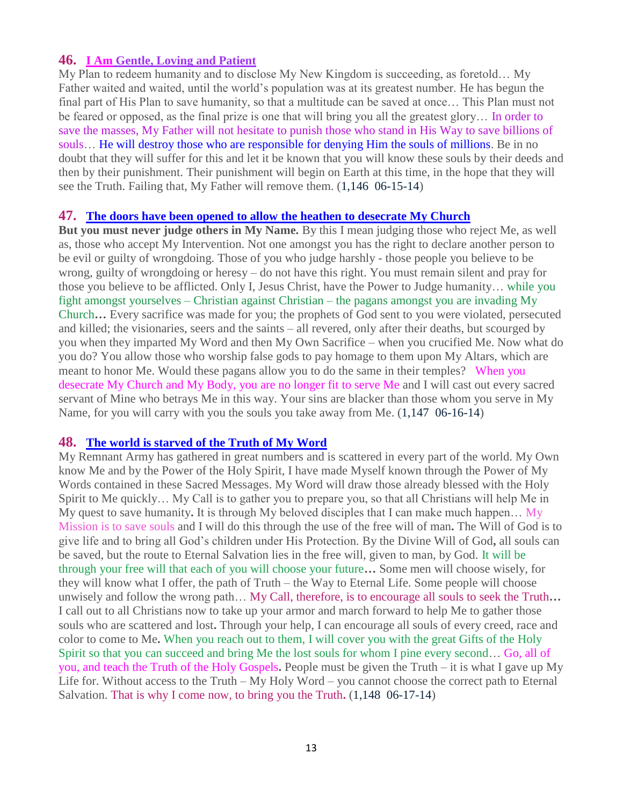## **46. I Am [Gentle, Loving and Patient](http://www.thewarningsecondcoming.com/i-am-gentle-loving-and-patient/)**

My Plan to redeem humanity and to disclose My New Kingdom is succeeding, as foretold… My Father waited and waited, until the world's population was at its greatest number. He has begun the final part of His Plan to save humanity, so that a multitude can be saved at once… This Plan must not be feared or opposed, as the final prize is one that will bring you all the greatest glory… In order to save the masses, My Father will not hesitate to punish those who stand in His Way to save billions of souls… He will destroy those who are responsible for denying Him the souls of millions. Be in no doubt that they will suffer for this and let it be known that you will know these souls by their deeds and then by their punishment. Their punishment will begin on Earth at this time, in the hope that they will see the Truth. Failing that, My Father will remove them. (1,146 06-15-14)

#### **47. [The doors have been opened to allow the heathen to desecrate My Church](http://www.thewarningsecondcoming.com/the-doors-have-been-opened-to-allow-the-heathen-to-desecrate-my-church/)**

**But you must never judge others in My Name.** By this I mean judging those who reject Me, as well as, those who accept My Intervention. Not one amongst you has the right to declare another person to be evil or guilty of wrongdoing. Those of you who judge harshly - those people you believe to be wrong, guilty of wrongdoing or heresy – do not have this right. You must remain silent and pray for those you believe to be afflicted. Only I, Jesus Christ, have the Power to Judge humanity… while you fight amongst yourselves – Christian against Christian – the pagans amongst you are invading My Church**…** Every sacrifice was made for you; the prophets of God sent to you were violated, persecuted and killed; the visionaries, seers and the saints – all revered, only after their deaths, but scourged by you when they imparted My Word and then My Own Sacrifice – when you crucified Me. Now what do you do? You allow those who worship false gods to pay homage to them upon My Altars, which are meant to honor Me. Would these pagans allow you to do the same in their temples? When you desecrate My Church and My Body, you are no longer fit to serve Me and I will cast out every sacred servant of Mine who betrays Me in this way. Your sins are blacker than those whom you serve in My Name, for you will carry with you the souls you take away from Me. (1,147 06-16-14)

## **48. [The world is starved of the Truth of My Word](http://www.thewarningsecondcoming.com/the-world-is-starved-of-the-truth-of-my-word/)**

My Remnant Army has gathered in great numbers and is scattered in every part of the world. My Own know Me and by the Power of the Holy Spirit, I have made Myself known through the Power of My Words contained in these Sacred Messages. My Word will draw those already blessed with the Holy Spirit to Me quickly… My Call is to gather you to prepare you, so that all Christians will help Me in My quest to save humanity**.** It is through My beloved disciples that I can make much happen… My Mission is to save souls and I will do this through the use of the free will of man**.** The Will of God is to give life and to bring all God's children under His Protection. By the Divine Will of God**,** all souls can be saved, but the route to Eternal Salvation lies in the free will, given to man, by God. It will be through your free will that each of you will choose your future**…** Some men will choose wisely, for they will know what I offer, the path of Truth – the Way to Eternal Life. Some people will choose unwisely and follow the wrong path… My Call, therefore, is to encourage all souls to seek the Truth**…**  I call out to all Christians now to take up your armor and march forward to help Me to gather those souls who are scattered and lost**.** Through your help, I can encourage all souls of every creed, race and color to come to Me**.** When you reach out to them, I will cover you with the great Gifts of the Holy Spirit so that you can succeed and bring Me the lost souls for whom I pine every second… Go, all of you, and teach the Truth of the Holy Gospels**.** People must be given the Truth – it is what I gave up My Life for. Without access to the Truth – My Holy Word – you cannot choose the correct path to Eternal Salvation. That is why I come now, to bring you the Truth**.** (1,148 06-17-14)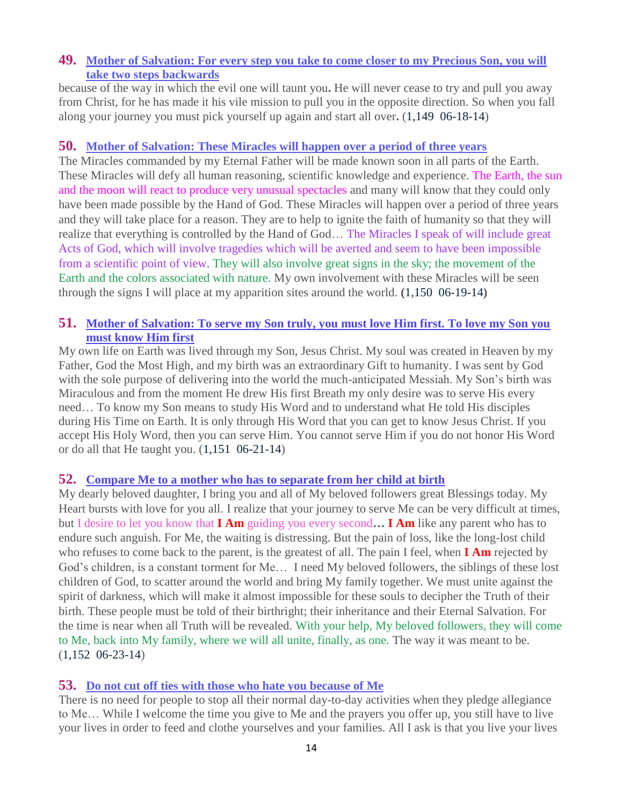## **49. [Mother of Salvation: For every step you take to come closer to my Precious Son, you will](http://www.thewarningsecondcoming.com/mother-of-salvation-for-every-step-you-take-to-come-closer-to-my-precious-son-you-will-take-two-steps-backwards/)  [take two steps backwards](http://www.thewarningsecondcoming.com/mother-of-salvation-for-every-step-you-take-to-come-closer-to-my-precious-son-you-will-take-two-steps-backwards/)**

because of the way in which the evil one will taunt you**.** He will never cease to try and pull you away from Christ, for he has made it his vile mission to pull you in the opposite direction. So when you fall along your journey you must pick yourself up again and start all over**.** (1,149 06-18-14)

#### **50. [Mother of Salvation: These Miracles will happen over a period of three years](http://www.thewarningsecondcoming.com/mother-of-salvation-these-miracles-will-happen-over-a-period-of-three-years/)**

The Miracles commanded by my Eternal Father will be made known soon in all parts of the Earth. These Miracles will defy all human reasoning, scientific knowledge and experience. The Earth, the sun and the moon will react to produce very unusual spectacles and many will know that they could only have been made possible by the Hand of God. These Miracles will happen over a period of three years and they will take place for a reason. They are to help to ignite the faith of humanity so that they will realize that everything is controlled by the Hand of God… The Miracles I speak of will include great Acts of God, which will involve tragedies which will be averted and seem to have been impossible from a scientific point of view. They will also involve great signs in the sky; the movement of the Earth and the colors associated with nature. My own involvement with these Miracles will be seen through the signs I will place at my apparition sites around the world. **(**1,150 06-19-14**)**

## **51. [Mother of Salvation: To serve my Son truly, you must love Him first. To love my Son you](http://www.thewarningsecondcoming.com/mother-of-salvation-to-serve-my-son-truly-you-must-love-him-first-to-love-my-son-you-must-know-him-first/)  [must know Him first](http://www.thewarningsecondcoming.com/mother-of-salvation-to-serve-my-son-truly-you-must-love-him-first-to-love-my-son-you-must-know-him-first/)**

My own life on Earth was lived through my Son, Jesus Christ. My soul was created in Heaven by my Father, God the Most High, and my birth was an extraordinary Gift to humanity. I was sent by God with the sole purpose of delivering into the world the much-anticipated Messiah. My Son's birth was Miraculous and from the moment He drew His first Breath my only desire was to serve His every need… To know my Son means to study His Word and to understand what He told His disciples during His Time on Earth. It is only through His Word that you can get to know Jesus Christ. If you accept His Holy Word, then you can serve Him. You cannot serve Him if you do not honor His Word or do all that He taught you.  $(1,151 \ 06-21-14)$ 

## **52. [Compare Me to a mother who has to separate from her child at birth](http://www.thewarningsecondcoming.com/compare-me-to-a-mother-who-has-to-separate-from-her-child-at-birth/)**

My dearly beloved daughter, I bring you and all of My beloved followers great Blessings today. My Heart bursts with love for you all. I realize that your journey to serve Me can be very difficult at times, but I desire to let you know that **I Am** guiding you every second**… I Am** like any parent who has to endure such anguish. For Me, the waiting is distressing. But the pain of loss, like the long-lost child who refuses to come back to the parent, is the greatest of all. The pain I feel, when **I Am** rejected by God's children, is a constant torment for Me… I need My beloved followers, the siblings of these lost children of God, to scatter around the world and bring My family together. We must unite against the spirit of darkness, which will make it almost impossible for these souls to decipher the Truth of their birth. These people must be told of their birthright; their inheritance and their Eternal Salvation. For the time is near when all Truth will be revealed. With your help, My beloved followers, they will come to Me, back into My family, where we will all unite, finally, as one. The way it was meant to be. (1,152 06-23-14)

## **53. [Do not cut off ties with those who hate you because of Me](http://www.thewarningsecondcoming.com/do-not-cut-off-ties-with-those-who-hate-you-because-of-me/)**

There is no need for people to stop all their normal day-to-day activities when they pledge allegiance to Me… While I welcome the time you give to Me and the prayers you offer up, you still have to live your lives in order to feed and clothe yourselves and your families. All I ask is that you live your lives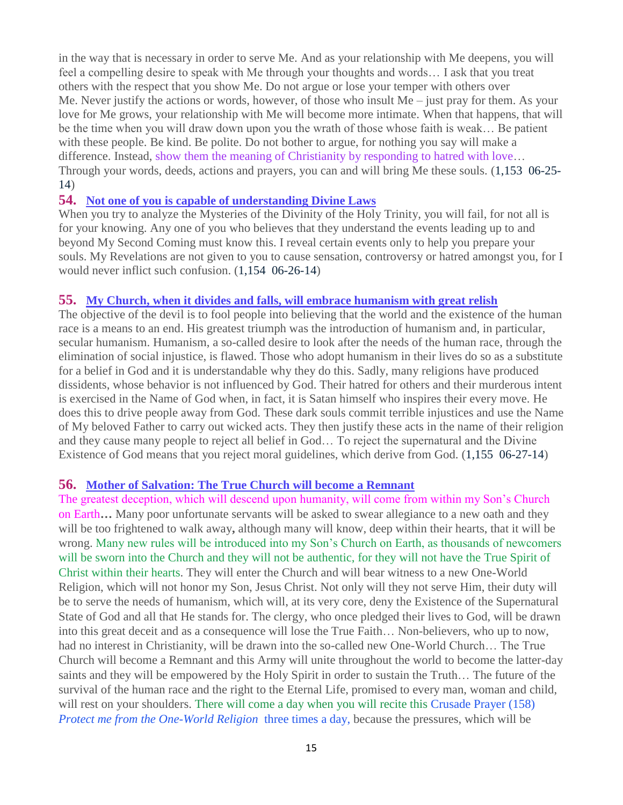in the way that is necessary in order to serve Me. And as your relationship with Me deepens, you will feel a compelling desire to speak with Me through your thoughts and words… I ask that you treat others with the respect that you show Me. Do not argue or lose your temper with others over Me. Never justify the actions or words, however, of those who insult Me – just pray for them. As your love for Me grows, your relationship with Me will become more intimate. When that happens, that will be the time when you will draw down upon you the wrath of those whose faith is weak… Be patient with these people. Be kind. Be polite. Do not bother to argue, for nothing you say will make a difference. Instead, show them the meaning of Christianity by responding to hatred with love… Through your words, deeds, actions and prayers, you can and will bring Me these souls. (1,153 06-25- 14)

#### **54. [Not one of you is capable of understanding Divine Laws](http://www.thewarningsecondcoming.com/not-one-of-you-is-capable-of-understanding-divine-laws/)**

When you try to analyze the Mysteries of the Divinity of the Holy Trinity, you will fail, for not all is for your knowing. Any one of you who believes that they understand the events leading up to and beyond My Second Coming must know this. I reveal certain events only to help you prepare your souls. My Revelations are not given to you to cause sensation, controversy or hatred amongst you, for I would never inflict such confusion. (1,154 06-26-14)

#### **55. My Church, when it divides [and falls, will embrace humanism with great relish](http://www.thewarningsecondcoming.com/my-church-when-it-divides-and-falls-will-embrace-humanism-with-great-relish/)**

The objective of the devil is to fool people into believing that the world and the existence of the human race is a means to an end. His greatest triumph was the introduction of humanism and, in particular, secular humanism. Humanism, a so-called desire to look after the needs of the human race, through the elimination of social injustice, is flawed. Those who adopt humanism in their lives do so as a substitute for a belief in God and it is understandable why they do this. Sadly, many religions have produced dissidents, whose behavior is not influenced by God. Their hatred for others and their murderous intent is exercised in the Name of God when, in fact, it is Satan himself who inspires their every move. He does this to drive people away from God. These dark souls commit terrible injustices and use the Name of My beloved Father to carry out wicked acts. They then justify these acts in the name of their religion and they cause many people to reject all belief in God… To reject the supernatural and the Divine Existence of God means that you reject moral guidelines, which derive from God. (1,155 06-27-14)

#### **56. [Mother of Salvation: The True Church will become a Remnant](http://www.thewarningsecondcoming.com/mother-of-salvation-the-true-church-will-become-a-remnant/)**

The greatest deception, which will descend upon humanity, will come from within my Son's Church on Earth**…** Many poor unfortunate servants will be asked to swear allegiance to a new oath and they will be too frightened to walk away**,** although many will know, deep within their hearts, that it will be wrong. Many new rules will be introduced into my Son's Church on Earth, as thousands of newcomers will be sworn into the Church and they will not be authentic, for they will not have the True Spirit of Christ within their hearts. They will enter the Church and will bear witness to a new One-World Religion, which will not honor my Son, Jesus Christ. Not only will they not serve Him, their duty will be to serve the needs of humanism, which will, at its very core, deny the Existence of the Supernatural State of God and all that He stands for. The clergy, who once pledged their lives to God, will be drawn into this great deceit and as a consequence will lose the True Faith… Non-believers, who up to now, had no interest in Christianity, will be drawn into the so-called new One-World Church… The True Church will become a Remnant and this Army will unite throughout the world to become the latter-day saints and they will be empowered by the Holy Spirit in order to sustain the Truth… The future of the survival of the human race and the right to the Eternal Life, promised to every man, woman and child, will rest on your shoulders. There will come a day when you will recite this Crusade Prayer (158) *Protect me from the One-World Religion* three times a day, because the pressures, which will be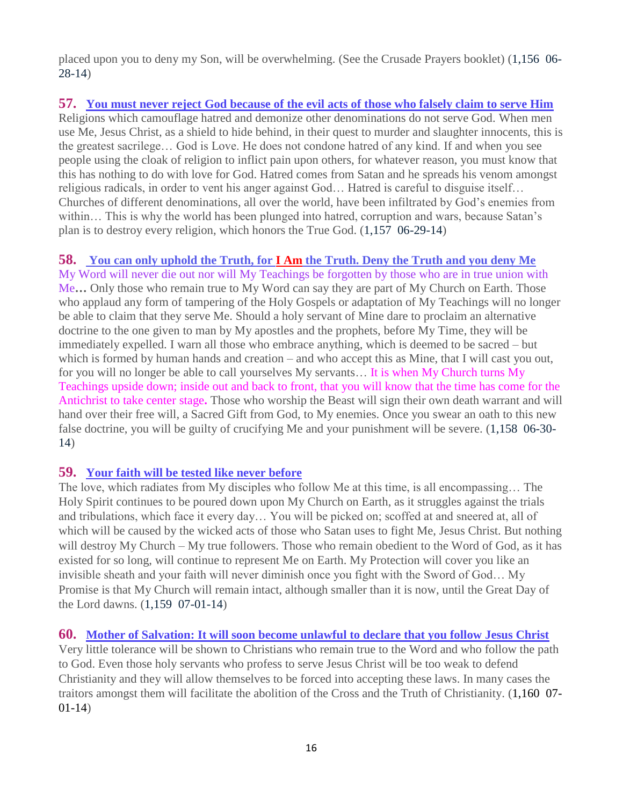placed upon you to deny my Son, will be overwhelming. (See the Crusade Prayers booklet) (1,156 06- 28-14)

**57. [You must never reject God because of the evil acts of those who falsely claim to serve Him](http://www.thewarningsecondcoming.com/you-must-never-reject-god-because-of-the-evil-acts-of-those-who-falsely-claim-to-serve-him/)** Religions which camouflage hatred and demonize other denominations do not serve God. When men use Me, Jesus Christ, as a shield to hide behind, in their quest to murder and slaughter innocents, this is the greatest sacrilege… God is Love. He does not condone hatred of any kind. If and when you see people using the cloak of religion to inflict pain upon others, for whatever reason, you must know that this has nothing to do with love for God. Hatred comes from Satan and he spreads his venom amongst religious radicals, in order to vent his anger against God… Hatred is careful to disguise itself… Churches of different denominations, all over the world, have been infiltrated by God's enemies from within… This is why the world has been plunged into hatred, corruption and wars, because Satan's plan is to destroy every religion, which honors the True God. (1,157 06-29-14)

## **58. You can only uphold the Truth, for I Am [the Truth. Deny the Truth and you deny Me](http://www.thewarningsecondcoming.com/you-can-only-uphold-the-truth-for-i-am-the-truth-deny-the-truth-and-you-deny-me/)**

My Word will never die out nor will My Teachings be forgotten by those who are in true union with Me**…** Only those who remain true to My Word can say they are part of My Church on Earth. Those who applaud any form of tampering of the Holy Gospels or adaptation of My Teachings will no longer be able to claim that they serve Me. Should a holy servant of Mine dare to proclaim an alternative doctrine to the one given to man by My apostles and the prophets, before My Time, they will be immediately expelled. I warn all those who embrace anything, which is deemed to be sacred – but which is formed by human hands and creation – and who accept this as Mine, that I will cast you out, for you will no longer be able to call yourselves My servants… It is when My Church turns My Teachings upside down; inside out and back to front, that you will know that the time has come for the Antichrist to take center stage**.** Those who worship the Beast will sign their own death warrant and will hand over their free will, a Sacred Gift from God, to My enemies. Once you swear an oath to this new false doctrine, you will be guilty of crucifying Me and your punishment will be severe. (1,158 06-30- 14)

## **59. [Your faith will be tested like never before](http://www.thewarningsecondcoming.com/your-faith-will-be-tested-like-never-before/)**

The love, which radiates from My disciples who follow Me at this time, is all encompassing… The Holy Spirit continues to be poured down upon My Church on Earth, as it struggles against the trials and tribulations, which face it every day… You will be picked on; scoffed at and sneered at, all of which will be caused by the wicked acts of those who Satan uses to fight Me, Jesus Christ. But nothing will destroy My Church – My true followers. Those who remain obedient to the Word of God, as it has existed for so long, will continue to represent Me on Earth. My Protection will cover you like an invisible sheath and your faith will never diminish once you fight with the Sword of God… My Promise is that My Church will remain intact, although smaller than it is now, until the Great Day of the Lord dawns. (1,159 07-01-14)

## **60. [Mother of Salvation: It will soon become unlawful to declare that you follow Jesus Christ](http://www.thewarningsecondcoming.com/mother-of-salvation-it-will-soon-become-unlawful-to-declare-that-you-follow-jesus-christ/)**

Very little tolerance will be shown to Christians who remain true to the Word and who follow the path to God. Even those holy servants who profess to serve Jesus Christ will be too weak to defend Christianity and they will allow themselves to be forced into accepting these laws. In many cases the traitors amongst them will facilitate the abolition of the Cross and the Truth of Christianity. (1,160 07- 01-14)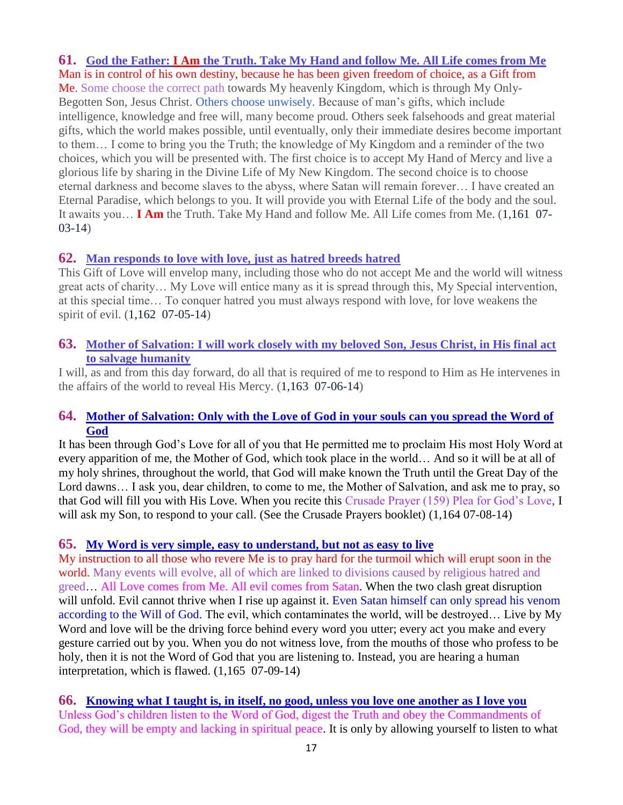**61. God the Father: I Am [the Truth. Take My Hand and follow Me. All Life comes from Me](http://www.thewarningsecondcoming.com/god-the-father-i-am-the-truth-take-my-hand-and-follow-me-all-life-comes-from-me/)**

Man is in control of his own destiny, because he has been given freedom of choice, as a Gift from Me. Some choose the correct path towards My heavenly Kingdom, which is through My Only-Begotten Son, Jesus Christ. Others choose unwisely. Because of man's gifts, which include intelligence, knowledge and free will, many become proud. Others seek falsehoods and great material gifts, which the world makes possible, until eventually, only their immediate desires become important to them… I come to bring you the Truth; the knowledge of My Kingdom and a reminder of the two choices, which you will be presented with. The first choice is to accept My Hand of Mercy and live a glorious life by sharing in the Divine Life of My New Kingdom. The second choice is to choose eternal darkness and become slaves to the abyss, where Satan will remain forever… I have created an Eternal Paradise, which belongs to you. It will provide you with Eternal Life of the body and the soul. It awaits you… **I Am** the Truth. Take My Hand and follow Me. All Life comes from Me. (1,161 07- 03-14)

## **62. [Man responds to love with love, just as hatred breeds hatred](http://www.thewarningsecondcoming.com/man-responds-to-love-with-love-just-as-hatred-breeds-hatred/)**

This Gift of Love will envelop many, including those who do not accept Me and the world will witness great acts of charity… My Love will entice many as it is spread through this, My Special intervention, at this special time… To conquer hatred you must always respond with love, for love weakens the spirit of evil. (1,162 07-05-14)

#### **63. [Mother of Salvation: I will work closely with my beloved Son, Jesus Christ, in His final act](http://www.thewarningsecondcoming.com/mother-of-salvation-i-will-work-closely-with-my-beloved-son-jesus-christ-in-his-final-act-to-salvage-humanity/)  [to salvage humanity](http://www.thewarningsecondcoming.com/mother-of-salvation-i-will-work-closely-with-my-beloved-son-jesus-christ-in-his-final-act-to-salvage-humanity/)**

I will, as and from this day forward, do all that is required of me to respond to Him as He intervenes in the affairs of the world to reveal His Mercy. (1,163 07-06-14)

## **64. [Mother of Salvation: Only with the Love of God in your souls can you spread the Word of](http://www.thewarningsecondcoming.com/mother-of-salvation-only-with-the-love-of-god-in-your-souls-can-you-spread-the-word-of-god/)  [God](http://www.thewarningsecondcoming.com/mother-of-salvation-only-with-the-love-of-god-in-your-souls-can-you-spread-the-word-of-god/)**

It has been through God's Love for all of you that He permitted me to proclaim His most Holy Word at every apparition of me, the Mother of God, which took place in the world… And so it will be at all of my holy shrines, throughout the world, that God will make known the Truth until the Great Day of the Lord dawns… I ask you, dear children, to come to me, the Mother of Salvation, and ask me to pray, so that God will fill you with His Love. When you recite this Crusade Prayer (159) Plea for God's Love, I will ask my Son, to respond to your call. (See the Crusade Prayers booklet) (1,164 07-08-14)

## **65. [My Word is very simple, easy to understand, but not as easy to live](http://www.thewarningsecondcoming.com/my-word-is-very-simple-easy-to-understand-but-not-as-easy-to-live/)**

My instruction to all those who revere Me is to pray hard for the turmoil which will erupt soon in the world. Many events will evolve, all of which are linked to divisions caused by religious hatred and greed… All Love comes from Me. All evil comes from Satan. When the two clash great disruption will unfold. Evil cannot thrive when I rise up against it. Even Satan himself can only spread his venom according to the Will of God. The evil, which contaminates the world, will be destroyed… Live by My Word and love will be the driving force behind every word you utter; every act you make and every gesture carried out by you. When you do not witness love, from the mouths of those who profess to be holy, then it is not the Word of God that you are listening to. Instead, you are hearing a human interpretation, which is flawed. (1,165 07-09-14)

**66. [Knowing what I taught is, in itself, no good, unless you love one another as I love you](http://www.thewarningsecondcoming.com/knowing-what-i-taught-is-in-itself-no-good-unless-you-love-one-another-as-i-love-you/)** Unless God's children listen to the Word of God, digest the Truth and obey the Commandments of God, they will be empty and lacking in spiritual peace. It is only by allowing yourself to listen to what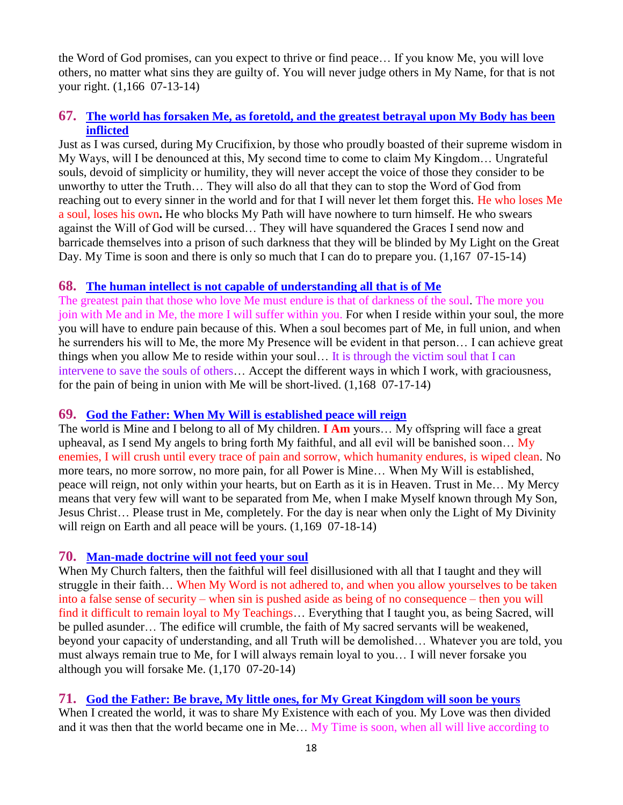the Word of God promises, can you expect to thrive or find peace… If you know Me, you will love others, no matter what sins they are guilty of. You will never judge others in My Name, for that is not your right. (1,166 07-13-14)

## **67. [The world has forsaken Me, as foretold, and the greatest betrayal upon My Body has been](http://www.thewarningsecondcoming.com/the-world-has-forsaken-me-as-foretold-and-the-greatest-betrayal-upon-my-body-has-been-inflicted/)  [inflicted](http://www.thewarningsecondcoming.com/the-world-has-forsaken-me-as-foretold-and-the-greatest-betrayal-upon-my-body-has-been-inflicted/)**

Just as I was cursed, during My Crucifixion, by those who proudly boasted of their supreme wisdom in My Ways, will I be denounced at this, My second time to come to claim My Kingdom… Ungrateful souls, devoid of simplicity or humility, they will never accept the voice of those they consider to be unworthy to utter the Truth… They will also do all that they can to stop the Word of God from reaching out to every sinner in the world and for that I will never let them forget this. He who loses Me a soul, loses his own**.** He who blocks My Path will have nowhere to turn himself. He who swears against the Will of God will be cursed… They will have squandered the Graces I send now and barricade themselves into a prison of such darkness that they will be blinded by My Light on the Great Day. My Time is soon and there is only so much that I can do to prepare you. (1,167 07-15-14)

## **68. [The human intellect is not capable of understanding all that is of Me](http://www.thewarningsecondcoming.com/the-human-intellect-is-not-capable-of-understanding-all-that-is-of-me/)**

The greatest pain that those who love Me must endure is that of darkness of the soul. The more you join with Me and in Me, the more I will suffer within you. For when I reside within your soul, the more you will have to endure pain because of this. When a soul becomes part of Me, in full union, and when he surrenders his will to Me, the more My Presence will be evident in that person… I can achieve great things when you allow Me to reside within your soul… It is through the victim soul that I can intervene to save the souls of others… Accept the different ways in which I work, with graciousness, for the pain of being in union with Me will be short-lived. (1,168 07-17-14)

## **69. [God the Father: When My Will is established peace will reign](http://www.thewarningsecondcoming.com/god-the-father-when-my-will-is-established-peace-will-reign/)**

The world is Mine and I belong to all of My children. **I Am** yours… My offspring will face a great upheaval, as I send My angels to bring forth My faithful, and all evil will be banished soon... My enemies, I will crush until every trace of pain and sorrow, which humanity endures, is wiped clean. No more tears, no more sorrow, no more pain, for all Power is Mine… When My Will is established, peace will reign, not only within your hearts, but on Earth as it is in Heaven. Trust in Me… My Mercy means that very few will want to be separated from Me, when I make Myself known through My Son, Jesus Christ… Please trust in Me, completely. For the day is near when only the Light of My Divinity will reign on Earth and all peace will be yours.  $(1,169 \t07-18-14)$ 

## **70. [Man-made doctrine will not feed your soul](http://www.thewarningsecondcoming.com/man-made-doctrine-will-not-feed-your-soul/)**

When My Church falters, then the faithful will feel disillusioned with all that I taught and they will struggle in their faith… When My Word is not adhered to, and when you allow yourselves to be taken into a false sense of security – when sin is pushed aside as being of no consequence – then you will find it difficult to remain loyal to My Teachings… Everything that I taught you, as being Sacred, will be pulled asunder… The edifice will crumble, the faith of My sacred servants will be weakened, beyond your capacity of understanding, and all Truth will be demolished… Whatever you are told, you must always remain true to Me, for I will always remain loyal to you… I will never forsake you although you will forsake Me. (1,170 07-20-14)

## **71. [God the Father: Be brave, My little ones, for My Great Kingdom will soon be yours](http://www.thewarningsecondcoming.com/god-the-father-be-brave-my-little-ones-for-my-great-kingdom-will-soon-be-yours/)**

When I created the world, it was to share My Existence with each of you. My Love was then divided and it was then that the world became one in Me… My Time is soon, when all will live according to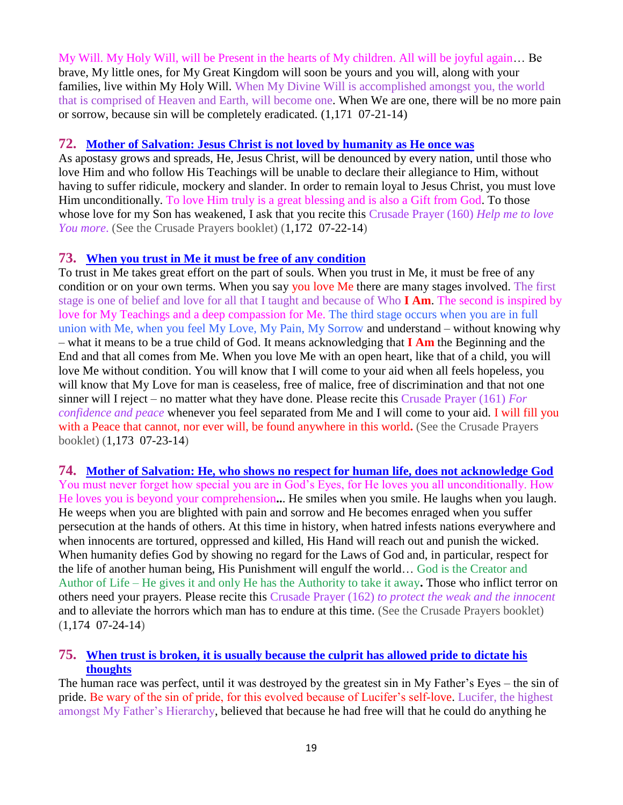My Will. My Holy Will, will be Present in the hearts of My children. All will be joyful again… Be brave, My little ones, for My Great Kingdom will soon be yours and you will, along with your families, live within My Holy Will. When My Divine Will is accomplished amongst you, the world that is comprised of Heaven and Earth, will become one. When We are one, there will be no more pain or sorrow, because sin will be completely eradicated. (1,171 07-21-14)

#### **72. [Mother of Salvation: Jesus Christ is not loved by humanity as He once was](http://www.thewarningsecondcoming.com/mother-of-salvation-jesus-christ-is-not-loved-by-humanity-as-he-once-was/)**

As apostasy grows and spreads, He, Jesus Christ, will be denounced by every nation, until those who love Him and who follow His Teachings will be unable to declare their allegiance to Him, without having to suffer ridicule, mockery and slander. In order to remain loyal to Jesus Christ, you must love Him unconditionally. To love Him truly is a great blessing and is also a Gift from God. To those whose love for my Son has weakened, I ask that you recite this Crusade Prayer (160) *Help me to love You more*. (See the Crusade Prayers booklet) (1,172 07-22-14)

#### **73. [When you trust in Me it must be free of any condition](http://www.thewarningsecondcoming.com/when-you-trust-in-me-it-must-be-free-of-any-condition/)**

To trust in Me takes great effort on the part of souls. When you trust in Me, it must be free of any condition or on your own terms. When you say you love Me there are many stages involved. The first stage is one of belief and love for all that I taught and because of Who **I Am**. The second is inspired by love for My Teachings and a deep compassion for Me. The third stage occurs when you are in full union with Me, when you feel My Love, My Pain, My Sorrow and understand – without knowing why – what it means to be a true child of God. It means acknowledging that **I Am** the Beginning and the End and that all comes from Me. When you love Me with an open heart, like that of a child, you will love Me without condition. You will know that I will come to your aid when all feels hopeless, you will know that My Love for man is ceaseless, free of malice, free of discrimination and that not one sinner will I reject – no matter what they have done. Please recite this Crusade Prayer (161) *For confidence and peace* whenever you feel separated from Me and I will come to your aid. I will fill you with a Peace that cannot, nor ever will, be found anywhere in this world**.** (See the Crusade Prayers booklet) (1,173 07-23-14)

**74. [Mother of Salvation: He, who shows no respect for human](http://www.thewarningsecondcoming.com/mother-of-salvation-he-who-shows-no-respect-for-human-life-does-not-acknowledge-god/) life, does not acknowledge God** You must never forget how special you are in God's Eyes, for He loves you all unconditionally. How He loves you is beyond your comprehension**..**. He smiles when you smile. He laughs when you laugh. He weeps when you are blighted with pain and sorrow and He becomes enraged when you suffer persecution at the hands of others. At this time in history, when hatred infests nations everywhere and when innocents are tortured, oppressed and killed, His Hand will reach out and punish the wicked. When humanity defies God by showing no regard for the Laws of God and, in particular, respect for the life of another human being, His Punishment will engulf the world… God is the Creator and Author of Life – He gives it and only He has the Authority to take it away**.** Those who inflict terror on others need your prayers. Please recite this Crusade Prayer (162) *to protect the weak and the innocent* and to alleviate the horrors which man has to endure at this time. (See the Crusade Prayers booklet)  $(1,174 \t07-24-14)$ 

## **75. [When trust is broken, it is usually because the culprit has allowed pride to dictate his](http://www.thewarningsecondcoming.com/when-trust-is-broken-it-is-usually-because-the-culprit-has-allowed-pride-to-dictate-his-thoughts/)  [thoughts](http://www.thewarningsecondcoming.com/when-trust-is-broken-it-is-usually-because-the-culprit-has-allowed-pride-to-dictate-his-thoughts/)**

The human race was perfect, until it was destroyed by the greatest sin in My Father's Eyes – the sin of pride. Be wary of the sin of pride, for this evolved because of Lucifer's self-love. Lucifer, the highest amongst My Father's Hierarchy, believed that because he had free will that he could do anything he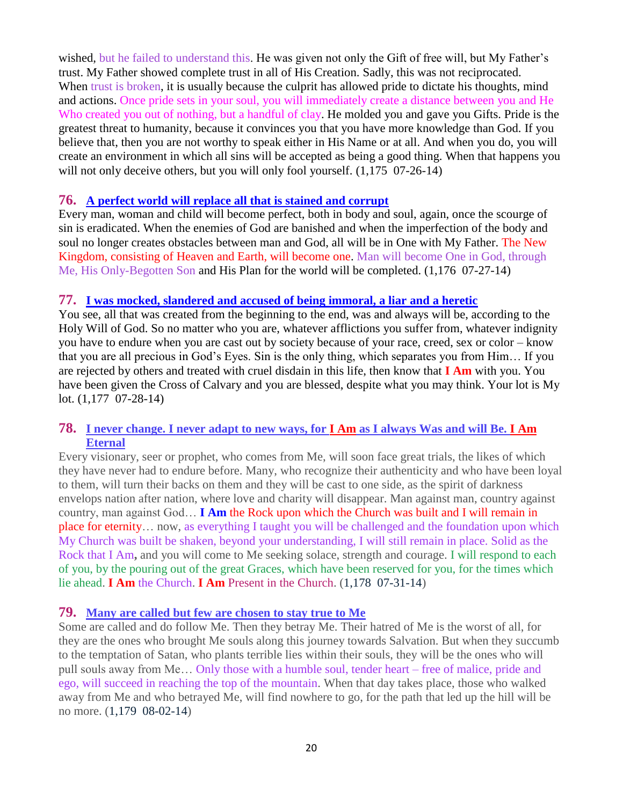wished, but he failed to understand this. He was given not only the Gift of free will, but My Father's trust. My Father showed complete trust in all of His Creation. Sadly, this was not reciprocated. When trust is broken, it is usually because the culprit has allowed pride to dictate his thoughts, mind and actions. Once pride sets in your soul, you will immediately create a distance between you and He Who created you out of nothing, but a handful of clay. He molded you and gave you Gifts. Pride is the greatest threat to humanity, because it convinces you that you have more knowledge than God. If you believe that, then you are not worthy to speak either in His Name or at all. And when you do, you will create an environment in which all sins will be accepted as being a good thing. When that happens you will not only deceive others, but you will only fool yourself.  $(1,175, 07-26-14)$ 

#### **76. [A perfect world will replace all that is stained and corrupt](http://www.thewarningsecondcoming.com/a-perfect-world-will-replace-all-that-is-stained-and-corrupt/)**

Every man, woman and child will become perfect, both in body and soul, again, once the scourge of sin is eradicated. When the enemies of God are banished and when the imperfection of the body and soul no longer creates obstacles between man and God, all will be in One with My Father. The New Kingdom, consisting of Heaven and Earth, will become one. Man will become One in God, through Me, His Only-Begotten Son and His Plan for the world will be completed. (1,176 07-27-14)

#### **77. [I was mocked, slandered and accused of being immoral, a liar and a heretic](http://www.thewarningsecondcoming.com/i-was-mocked-slandered-and-accused-of-being-immoral-a-liar-and-a-heretic/)**

You see, all that was created from the beginning to the end, was and always will be, according to the Holy Will of God. So no matter who you are, whatever afflictions you suffer from, whatever indignity you have to endure when you are cast out by society because of your race, creed, sex or color – know that you are all precious in God's Eyes. Sin is the only thing, which separates you from Him… If you are rejected by others and treated with cruel disdain in this life, then know that **I Am** with you. You have been given the Cross of Calvary and you are blessed, despite what you may think. Your lot is My lot. (1,177 07-28-14)

#### **78. [I never change. I never adapt to new ways, for I Am](http://www.thewarningsecondcoming.com/i-never-change-i-never-adapt-to-new-ways-for-i-am-as-i-always-was-and-will-be-i-am-eternal/) as I always Was and will Be. I Am [Eternal](http://www.thewarningsecondcoming.com/i-never-change-i-never-adapt-to-new-ways-for-i-am-as-i-always-was-and-will-be-i-am-eternal/)**

Every visionary, seer or prophet, who comes from Me, will soon face great trials, the likes of which they have never had to endure before. Many, who recognize their authenticity and who have been loyal to them, will turn their backs on them and they will be cast to one side, as the spirit of darkness envelops nation after nation, where love and charity will disappear. Man against man, country against country, man against God… **I Am** the Rock upon which the Church was built and I will remain in place for eternity… now, as everything I taught you will be challenged and the foundation upon which My Church was built be shaken, beyond your understanding, I will still remain in place. Solid as the Rock that I Am**,** and you will come to Me seeking solace, strength and courage. I will respond to each of you, by the pouring out of the great Graces, which have been reserved for you, for the times which lie ahead. **I Am** the Church. **I Am** Present in the Church. (1,178 07-31-14)

#### **79. [Many are called but few are chosen to stay true to Me](http://www.thewarningsecondcoming.com/many-are-called-but-few-are-chosen-to-stay-true-to-me/)**

Some are called and do follow Me. Then they betray Me. Their hatred of Me is the worst of all, for they are the ones who brought Me souls along this journey towards Salvation. But when they succumb to the temptation of Satan, who plants terrible lies within their souls, they will be the ones who will pull souls away from Me… Only those with a humble soul, tender heart – free of malice, pride and ego, will succeed in reaching the top of the mountain. When that day takes place, those who walked away from Me and who betrayed Me, will find nowhere to go, for the path that led up the hill will be no more. (1,179 08-02-14)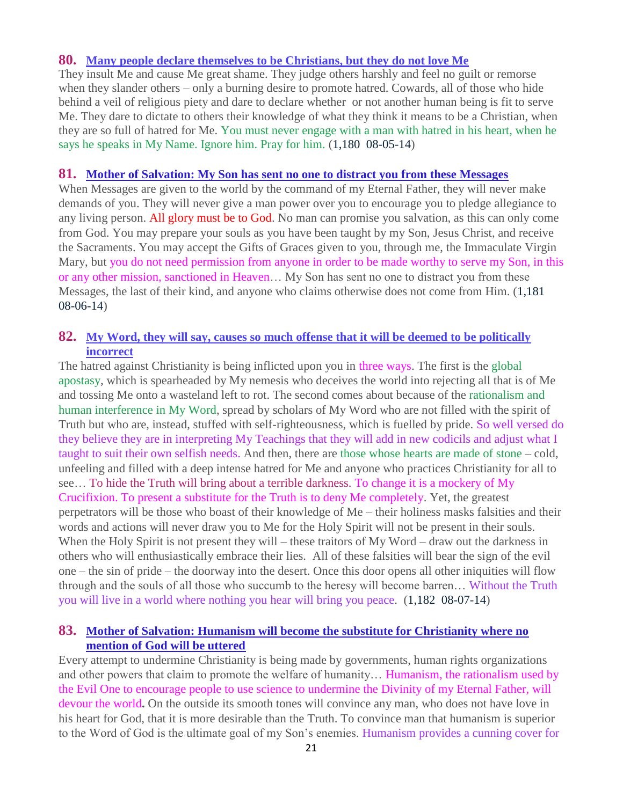#### **80. [Many people declare themselves to be Christians, but they do not love Me](http://www.thewarningsecondcoming.com/many-people-declare-themselves-to-be-christians-but-they-do-not-love-me/)**

They insult Me and cause Me great shame. They judge others harshly and feel no guilt or remorse when they slander others – only a burning desire to promote hatred. Cowards, all of those who hide behind a veil of religious piety and dare to declare whether or not another human being is fit to serve Me. They dare to dictate to others their knowledge of what they think it means to be a Christian, when they are so full of hatred for Me. You must never engage with a man with hatred in his heart, when he says he speaks in My Name. Ignore him. Pray for him. (1,180 08-05-14)

#### **81. [Mother of Salvation: My Son has sent no one to distract you from these Messages](http://www.thewarningsecondcoming.com/mother-of-salvation-my-son-has-sent-no-one-to-distract-you-from-these-messages/)**

When Messages are given to the world by the command of my Eternal Father, they will never make demands of you. They will never give a man power over you to encourage you to pledge allegiance to any living person. All glory must be to God. No man can promise you salvation, as this can only come from God. You may prepare your souls as you have been taught by my Son, Jesus Christ, and receive the Sacraments. You may accept the Gifts of Graces given to you, through me, the Immaculate Virgin Mary, but you do not need permission from anyone in order to be made worthy to serve my Son, in this or any other mission, sanctioned in Heaven… My Son has sent no one to distract you from these Messages, the last of their kind, and anyone who claims otherwise does not come from Him. (1,181 08-06-14)

#### **82. [My Word, they will say, causes so much offense that it will be deemed to be politically](http://www.thewarningsecondcoming.com/my-word-they-will-say-causes-so-much-offense-that-it-will-be-deemed-to-be-politically-incorrect/)  [incorrect](http://www.thewarningsecondcoming.com/my-word-they-will-say-causes-so-much-offense-that-it-will-be-deemed-to-be-politically-incorrect/)**

The hatred against Christianity is being inflicted upon you in three ways. The first is the global apostasy, which is spearheaded by My nemesis who deceives the world into rejecting all that is of Me and tossing Me onto a wasteland left to rot. The second comes about because of the rationalism and human interference in My Word, spread by scholars of My Word who are not filled with the spirit of Truth but who are, instead, stuffed with self-righteousness, which is fuelled by pride. So well versed do they believe they are in interpreting My Teachings that they will add in new codicils and adjust what I taught to suit their own selfish needs. And then, there are those whose hearts are made of stone – cold, unfeeling and filled with a deep intense hatred for Me and anyone who practices Christianity for all to see… To hide the Truth will bring about a terrible darkness. To change it is a mockery of My Crucifixion. To present a substitute for the Truth is to deny Me completely. Yet, the greatest perpetrators will be those who boast of their knowledge of Me – their holiness masks falsities and their words and actions will never draw you to Me for the Holy Spirit will not be present in their souls. When the Holy Spirit is not present they will – these traitors of My Word – draw out the darkness in others who will enthusiastically embrace their lies. All of these falsities will bear the sign of the evil one – the sin of pride – the doorway into the desert. Once this door opens all other iniquities will flow through and the souls of all those who succumb to the heresy will become barren… Without the Truth you will live in a world where nothing you hear will bring you peace. (1,182 08-07-14)

## **83. [Mother of Salvation: Humanism will become the substitute for Christianity where no](http://www.thewarningsecondcoming.com/mother-of-salvation-humanism-will-become-the-substitute-for-christianity-where-no-mention-of-god-will-be-uttered/)  [mention of God will be uttered](http://www.thewarningsecondcoming.com/mother-of-salvation-humanism-will-become-the-substitute-for-christianity-where-no-mention-of-god-will-be-uttered/)**

Every attempt to undermine Christianity is being made by governments, human rights organizations and other powers that claim to promote the welfare of humanity… Humanism, the rationalism used by the Evil One to encourage people to use science to undermine the Divinity of my Eternal Father, will devour the world**.** On the outside its smooth tones will convince any man, who does not have love in his heart for God, that it is more desirable than the Truth. To convince man that humanism is superior to the Word of God is the ultimate goal of my Son's enemies. Humanism provides a cunning cover for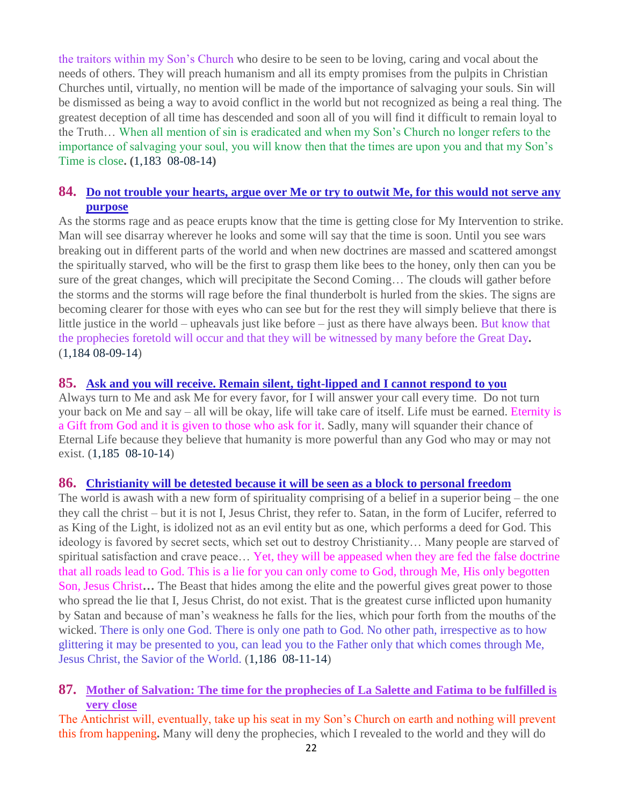the traitors within my Son's Church who desire to be seen to be loving, caring and vocal about the needs of others. They will preach humanism and all its empty promises from the pulpits in Christian Churches until, virtually, no mention will be made of the importance of salvaging your souls. Sin will be dismissed as being a way to avoid conflict in the world but not recognized as being a real thing. The greatest deception of all time has descended and soon all of you will find it difficult to remain loyal to the Truth… When all mention of sin is eradicated and when my Son's Church no longer refers to the importance of salvaging your soul, you will know then that the times are upon you and that my Son's Time is close**. (**1,183 08-08-14**)**

## **84. [Do not trouble your hearts, argue over Me or try to outwit Me, for this would not serve any](http://www.thewarningsecondcoming.com/do-not-trouble-your-hearts-argue-over-me-or-try-to-outwit-me-for-this-would-not-serve-any-purpose/)  [purpose](http://www.thewarningsecondcoming.com/do-not-trouble-your-hearts-argue-over-me-or-try-to-outwit-me-for-this-would-not-serve-any-purpose/)**

As the storms rage and as peace erupts know that the time is getting close for My Intervention to strike. Man will see disarray wherever he looks and some will say that the time is soon. Until you see wars breaking out in different parts of the world and when new doctrines are massed and scattered amongst the spiritually starved, who will be the first to grasp them like bees to the honey, only then can you be sure of the great changes, which will precipitate the Second Coming… The clouds will gather before the storms and the storms will rage before the final thunderbolt is hurled from the skies. The signs are becoming clearer for those with eyes who can see but for the rest they will simply believe that there is little justice in the world – upheavals just like before – just as there have always been. But know that the prophecies foretold will occur and that they will be witnessed by many before the Great Day**.**  (1,184 08-09-14)

#### **85. [Ask and you will receive. Remain silent, tight-lipped and I cannot respond to you](http://www.thewarningsecondcoming.com/ask-and-you-will-receive-remain-silent-tight-lipped-and-i-cannot-respond-to-you/)**

Always turn to Me and ask Me for every favor, for I will answer your call every time. Do not turn your back on Me and say – all will be okay, life will take care of itself. Life must be earned. Eternity is a Gift from God and it is given to those who ask for it. Sadly, many will squander their chance of Eternal Life because they believe that humanity is more powerful than any God who may or may not exist. (1,185 08-10-14)

#### **86. [Christianity will be detested because it will be seen as a block to personal freedom](http://www.thewarningsecondcoming.com/christianity-will-be-detested-because-it-will-be-seen-as-a-block-to-personal-freedom/)**

The world is awash with a new form of spirituality comprising of a belief in a superior being – the one they call the christ – but it is not I, Jesus Christ, they refer to. Satan, in the form of Lucifer, referred to as King of the Light, is idolized not as an evil entity but as one, which performs a deed for God. This ideology is favored by secret sects, which set out to destroy Christianity… Many people are starved of spiritual satisfaction and crave peace… Yet, they will be appeased when they are fed the false doctrine that all roads lead to God. This is a lie for you can only come to God, through Me, His only begotten Son, Jesus Christ**…** The Beast that hides among the elite and the powerful gives great power to those who spread the lie that I, Jesus Christ, do not exist. That is the greatest curse inflicted upon humanity by Satan and because of man's weakness he falls for the lies, which pour forth from the mouths of the wicked. There is only one God. There is only one path to God. No other path, irrespective as to how glittering it may be presented to you, can lead you to the Father only that which comes through Me, Jesus Christ, the Savior of the World. (1,186 08-11-14)

#### **87. [Mother of Salvation: The time for the prophecies of La Salette and Fatima to be fulfilled is](http://www.thewarningsecondcoming.com/mother-of-salvation-the-time-for-the-prophecies-of-la-salette-and-fatima-to-be-fulfilled-is-very-close/)  [very close](http://www.thewarningsecondcoming.com/mother-of-salvation-the-time-for-the-prophecies-of-la-salette-and-fatima-to-be-fulfilled-is-very-close/)**

The Antichrist will, eventually, take up his seat in my Son's Church on earth and nothing will prevent this from happening**.** Many will deny the prophecies, which I revealed to the world and they will do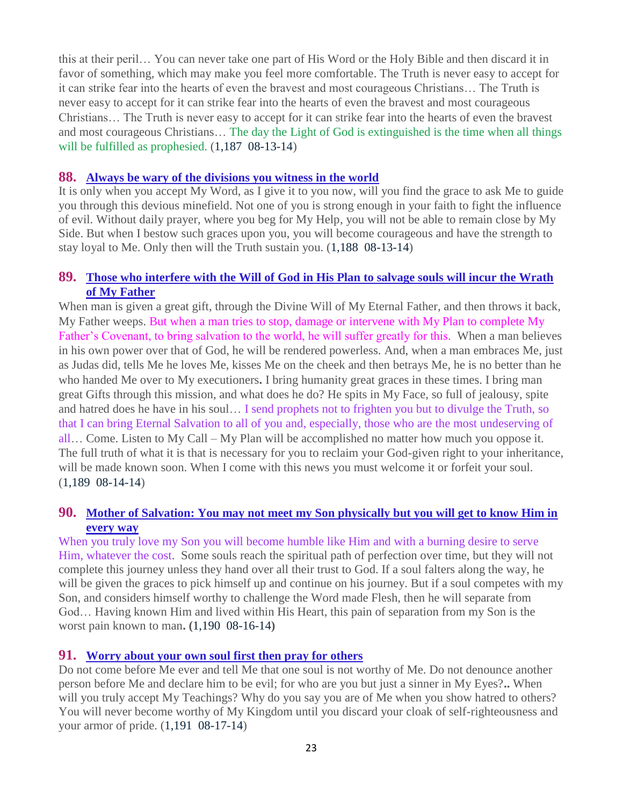this at their peril… You can never take one part of His Word or the Holy Bible and then discard it in favor of something, which may make you feel more comfortable. The Truth is never easy to accept for it can strike fear into the hearts of even the bravest and most courageous Christians… The Truth is never easy to accept for it can strike fear into the hearts of even the bravest and most courageous Christians… The Truth is never easy to accept for it can strike fear into the hearts of even the bravest and most courageous Christians… The day the Light of God is extinguished is the time when all things will be fulfilled as prophesied.  $(1,187 \ 08-13-14)$ 

#### **88. [Always be wary of the divisions you witness in the world](http://www.thewarningsecondcoming.com/always-be-wary-of-the-divisions-you-witness-in-the-world/)**

It is only when you accept My Word, as I give it to you now, will you find the grace to ask Me to guide you through this devious minefield. Not one of you is strong enough in your faith to fight the influence of evil. Without daily prayer, where you beg for My Help, you will not be able to remain close by My Side. But when I bestow such graces upon you, you will become courageous and have the strength to stay loyal to Me. Only then will the Truth sustain you. (1,188 08-13-14)

#### **89. [Those who interfere with the Will of God in His Plan to salvage souls will incur the Wrath](http://www.thewarningsecondcoming.com/those-who-interfere-with-the-will-of-god-in-his-plan-to-salvage-souls-will-incur-the-wrath-of-my-father/)  [of My Father](http://www.thewarningsecondcoming.com/those-who-interfere-with-the-will-of-god-in-his-plan-to-salvage-souls-will-incur-the-wrath-of-my-father/)**

When man is given a great gift, through the Divine Will of My Eternal Father, and then throws it back, My Father weeps. But when a man tries to stop, damage or intervene with My Plan to complete My Father's Covenant, to bring salvation to the world, he will suffer greatly for this. When a man believes in his own power over that of God, he will be rendered powerless. And, when a man embraces Me, just as Judas did, tells Me he loves Me, kisses Me on the cheek and then betrays Me, he is no better than he who handed Me over to My executioners**.** I bring humanity great graces in these times. I bring man great Gifts through this mission, and what does he do? He spits in My Face, so full of jealousy, spite and hatred does he have in his soul… I send prophets not to frighten you but to divulge the Truth, so that I can bring Eternal Salvation to all of you and, especially, those who are the most undeserving of all… Come. Listen to My Call – My Plan will be accomplished no matter how much you oppose it. The full truth of what it is that is necessary for you to reclaim your God-given right to your inheritance, will be made known soon. When I come with this news you must welcome it or forfeit your soul. (1,189 08-14-14)

## **90. [Mother of Salvation: You may not meet my Son physically but you will get to know Him in](http://www.thewarningsecondcoming.com/mother-of-salvation-you-may-not-meet-my-son-physically-but-you-will-get-to-know-him-in-every-way/)  [every way](http://www.thewarningsecondcoming.com/mother-of-salvation-you-may-not-meet-my-son-physically-but-you-will-get-to-know-him-in-every-way/)**

When you truly love my Son you will become humble like Him and with a burning desire to serve Him, whatever the cost. Some souls reach the spiritual path of perfection over time, but they will not complete this journey unless they hand over all their trust to God. If a soul falters along the way, he will be given the graces to pick himself up and continue on his journey. But if a soul competes with my Son, and considers himself worthy to challenge the Word made Flesh, then he will separate from God… Having known Him and lived within His Heart, this pain of separation from my Son is the worst pain known to man**. (**1,190 08-16-14**)**

## **91. [Worry about your own soul first then pray for others](http://www.thewarningsecondcoming.com/worry-about-your-own-soul-first-then-pray-for-others/)**

Do not come before Me ever and tell Me that one soul is not worthy of Me. Do not denounce another person before Me and declare him to be evil; for who are you but just a sinner in My Eyes?**..** When will you truly accept My Teachings? Why do you say you are of Me when you show hatred to others? You will never become worthy of My Kingdom until you discard your cloak of self-righteousness and your armor of pride. (1,191 08-17-14)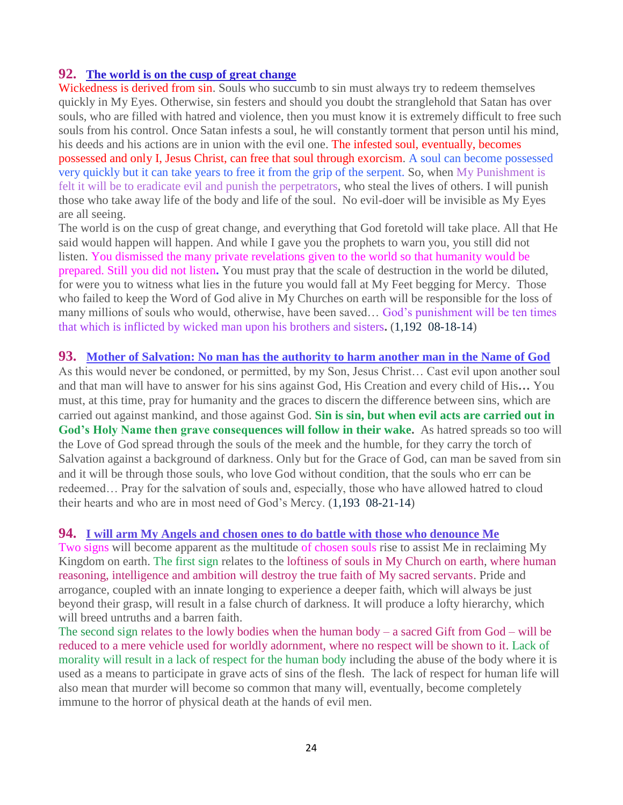#### **92. [The world is on the cusp of great change](http://www.thewarningsecondcoming.com/the-world-is-on-the-cusp-of-great-change/)**

Wickedness is derived from sin. Souls who succumb to sin must always try to redeem themselves quickly in My Eyes. Otherwise, sin festers and should you doubt the stranglehold that Satan has over souls, who are filled with hatred and violence, then you must know it is extremely difficult to free such souls from his control. Once Satan infests a soul, he will constantly torment that person until his mind, his deeds and his actions are in union with the evil one. The infested soul, eventually, becomes possessed and only I, Jesus Christ, can free that soul through exorcism. A soul can become possessed very quickly but it can take years to free it from the grip of the serpent. So, when My Punishment is felt it will be to eradicate evil and punish the perpetrators, who steal the lives of others. I will punish those who take away life of the body and life of the soul. No evil-doer will be invisible as My Eyes are all seeing.

The world is on the cusp of great change, and everything that God foretold will take place. All that He said would happen will happen. And while I gave you the prophets to warn you, you still did not listen. You dismissed the many private revelations given to the world so that humanity would be prepared. Still you did not listen**.** You must pray that the scale of destruction in the world be diluted, for were you to witness what lies in the future you would fall at My Feet begging for Mercy. Those who failed to keep the Word of God alive in My Churches on earth will be responsible for the loss of many millions of souls who would, otherwise, have been saved… God's punishment will be ten times that which is inflicted by wicked man upon his brothers and sisters**.** (1,192 08-18-14)

#### **93. [Mother of Salvation: No man has the authority to harm another man in the Name of God](http://www.thewarningsecondcoming.com/mother-of-salvation-no-man-has-the-authority-to-harm-another-man-in-the-name-of-god/)**

As this would never be condoned, or permitted, by my Son, Jesus Christ… Cast evil upon another soul and that man will have to answer for his sins against God, His Creation and every child of His**…** You must, at this time, pray for humanity and the graces to discern the difference between sins, which are carried out against mankind, and those against God. **Sin is sin, but when evil acts are carried out in God's Holy Name then grave consequences will follow in their wake.** As hatred spreads so too will the Love of God spread through the souls of the meek and the humble, for they carry the torch of Salvation against a background of darkness. Only but for the Grace of God, can man be saved from sin and it will be through those souls, who love God without condition, that the souls who err can be redeemed… Pray for the salvation of souls and, especially, those who have allowed hatred to cloud their hearts and who are in most need of God's Mercy. (1,193 08-21-14)

#### **94. [I will arm My Angels and chosen ones to do battle with those who denounce Me](http://www.thewarningsecondcoming.com/i-will-arm-my-angels-and-chosen-ones-to-do-battle-with-those-who-denounce-me/)**

Two signs will become apparent as the multitude of chosen souls rise to assist Me in reclaiming My Kingdom on earth. The first sign relates to the loftiness of souls in My Church on earth, where human reasoning, intelligence and ambition will destroy the true faith of My sacred servants. Pride and arrogance, coupled with an innate longing to experience a deeper faith, which will always be just beyond their grasp, will result in a false church of darkness. It will produce a lofty hierarchy, which will breed untruths and a barren faith.

The second sign relates to the lowly bodies when the human body – a sacred Gift from  $God - will be$ reduced to a mere vehicle used for worldly adornment, where no respect will be shown to it. Lack of morality will result in a lack of respect for the human body including the abuse of the body where it is used as a means to participate in grave acts of sins of the flesh. The lack of respect for human life will also mean that murder will become so common that many will, eventually, become completely immune to the horror of physical death at the hands of evil men.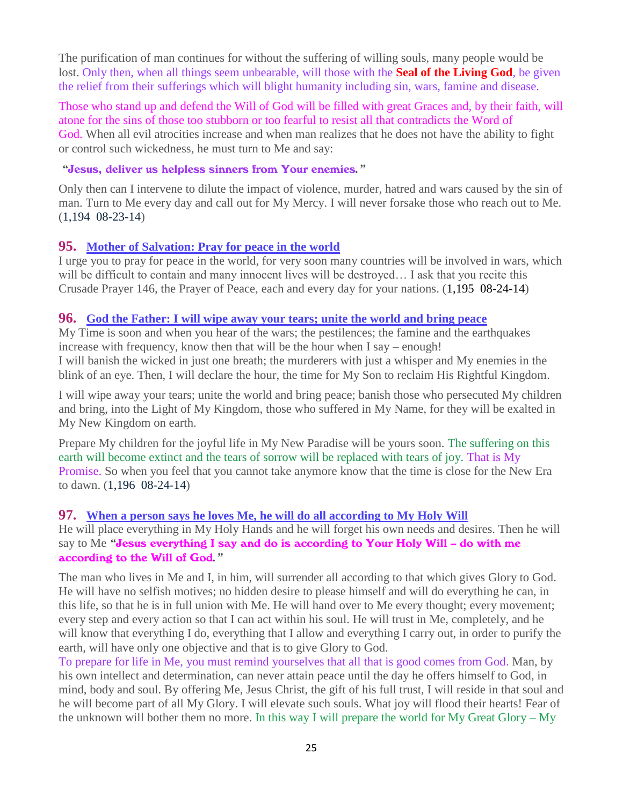The purification of man continues for without the suffering of willing souls, many people would be lost. Only then, when all things seem unbearable, will those with the **Seal of the Living God**, be given the relief from their sufferings which will blight humanity including sin, wars, famine and disease.

Those who stand up and defend the Will of God will be filled with great Graces and, by their faith, will atone for the sins of those too stubborn or too fearful to resist all that contradicts the Word of God. When all evil atrocities increase and when man realizes that he does not have the ability to fight or control such wickedness, he must turn to Me and say:

#### *"*Jesus, deliver us helpless sinners from Your enemies*."*

Only then can I intervene to dilute the impact of violence, murder, hatred and wars caused by the sin of man. Turn to Me every day and call out for My Mercy. I will never forsake those who reach out to Me. (1,194 08-23-14)

## **95. [Mother of Salvation: Pray for peace in the world](http://www.thewarningsecondcoming.com/mother-of-salvation-pray-for-peace-in-the-world/)**

I urge you to pray for peace in the world, for very soon many countries will be involved in wars, which will be difficult to contain and many innocent lives will be destroyed... I ask that you recite this Crusade Prayer 146, the Prayer of Peace, each and every day for your nations. (1,195 08-24-14)

#### **96. [God the Father: I will wipe away your tears; unite the world and bring peace](http://www.thewarningsecondcoming.com/god-the-father-i-will-wipe-away-your-tears-unite-the-world-and-bring-peace/)**

My Time is soon and when you hear of the wars; the pestilences; the famine and the earthquakes increase with frequency, know then that will be the hour when I say – enough! I will banish the wicked in just one breath; the murderers with just a whisper and My enemies in the blink of an eye. Then, I will declare the hour, the time for My Son to reclaim His Rightful Kingdom.

I will wipe away your tears; unite the world and bring peace; banish those who persecuted My children and bring, into the Light of My Kingdom, those who suffered in My Name, for they will be exalted in My New Kingdom on earth.

Prepare My children for the joyful life in My New Paradise will be yours soon. The suffering on this earth will become extinct and the tears of sorrow will be replaced with tears of joy. That is My Promise. So when you feel that you cannot take anymore know that the time is close for the New Era to dawn. (1,196 08-24-14)

## **97. [When a person says he loves Me, he will do all according to My Holy Will](http://www.thewarningsecondcoming.com/when-a-person-says-he-loves-me-he-will-do-all-according-to-my-holy-will/)**

He will place everything in My Holy Hands and he will forget his own needs and desires. Then he will say to Me *"*Jesus everything I say and do is according to Your Holy Will – do with me according to the Will of God*."*

The man who lives in Me and I, in him, will surrender all according to that which gives Glory to God. He will have no selfish motives; no hidden desire to please himself and will do everything he can, in this life, so that he is in full union with Me. He will hand over to Me every thought; every movement; every step and every action so that I can act within his soul. He will trust in Me, completely, and he will know that everything I do, everything that I allow and everything I carry out, in order to purify the earth, will have only one objective and that is to give Glory to God.

To prepare for life in Me, you must remind yourselves that all that is good comes from God. Man, by his own intellect and determination, can never attain peace until the day he offers himself to God, in mind, body and soul. By offering Me, Jesus Christ, the gift of his full trust, I will reside in that soul and he will become part of all My Glory. I will elevate such souls. What joy will flood their hearts! Fear of the unknown will bother them no more. In this way I will prepare the world for My Great Glory – My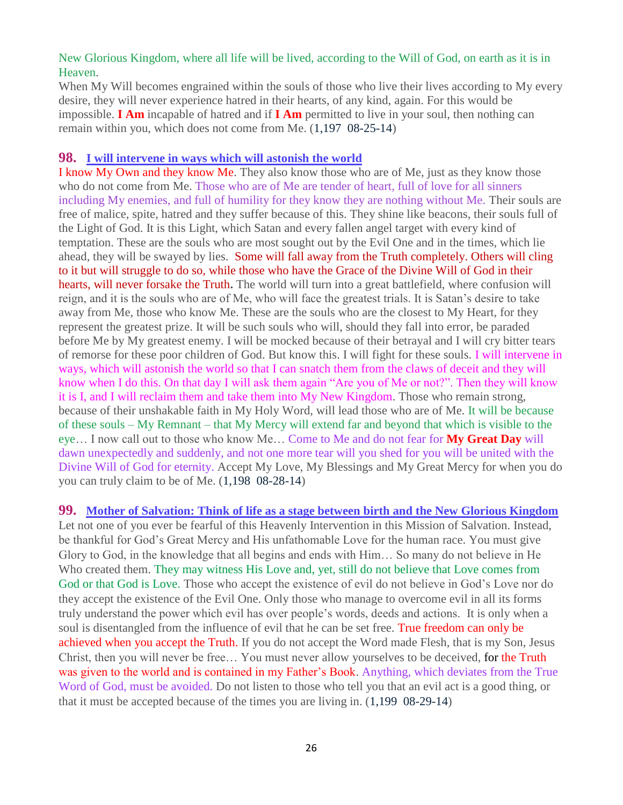## New Glorious Kingdom, where all life will be lived, according to the Will of God, on earth as it is in Heaven.

When My Will becomes engrained within the souls of those who live their lives according to My every desire, they will never experience hatred in their hearts, of any kind, again. For this would be impossible. **I Am** incapable of hatred and if **I Am** permitted to live in your soul, then nothing can remain within you, which does not come from Me. (1,197 08-25-14)

#### **98. [I will intervene in ways which will astonish the world](http://www.thewarningsecondcoming.com/i-will-intervene-in-ways-which-will-astonish-the-world/)**

I know My Own and they know Me. They also know those who are of Me, just as they know those who do not come from Me. Those who are of Me are tender of heart, full of love for all sinners including My enemies, and full of humility for they know they are nothing without Me. Their souls are free of malice, spite, hatred and they suffer because of this. They shine like beacons, their souls full of the Light of God. It is this Light, which Satan and every fallen angel target with every kind of temptation. These are the souls who are most sought out by the Evil One and in the times, which lie ahead, they will be swayed by lies. Some will fall away from the Truth completely. Others will cling to it but will struggle to do so, while those who have the Grace of the Divine Will of God in their hearts, will never forsake the Truth**.** The world will turn into a great battlefield, where confusion will reign, and it is the souls who are of Me, who will face the greatest trials. It is Satan's desire to take away from Me, those who know Me. These are the souls who are the closest to My Heart, for they represent the greatest prize. It will be such souls who will, should they fall into error, be paraded before Me by My greatest enemy. I will be mocked because of their betrayal and I will cry bitter tears of remorse for these poor children of God. But know this. I will fight for these souls. I will intervene in ways, which will astonish the world so that I can snatch them from the claws of deceit and they will know when I do this. On that day I will ask them again "Are you of Me or not?". Then they will know it is I, and I will reclaim them and take them into My New Kingdom. Those who remain strong, because of their unshakable faith in My Holy Word, will lead those who are of Me. It will be because of these souls – My Remnant – that My Mercy will extend far and beyond that which is visible to the eye… I now call out to those who know Me… Come to Me and do not fear for **My Great Day** will dawn unexpectedly and suddenly, and not one more tear will you shed for you will be united with the Divine Will of God for eternity. Accept My Love, My Blessings and My Great Mercy for when you do you can truly claim to be of Me. (1,198 08-28-14)

**99. [Mother of Salvation: Think of life as a stage between birth and the New Glorious Kingdom](http://www.thewarningsecondcoming.com/mother-of-salvation-think-of-life-as-a-stage-between-birth-and-the-new-glorious-kingdom/)** Let not one of you ever be fearful of this Heavenly Intervention in this Mission of Salvation. Instead, be thankful for God's Great Mercy and His unfathomable Love for the human race. You must give Glory to God, in the knowledge that all begins and ends with Him… So many do not believe in He Who created them. They may witness His Love and, yet, still do not believe that Love comes from God or that God is Love. Those who accept the existence of evil do not believe in God's Love nor do they accept the existence of the Evil One. Only those who manage to overcome evil in all its forms truly understand the power which evil has over people's words, deeds and actions. It is only when a soul is disentangled from the influence of evil that he can be set free. True freedom can only be achieved when you accept the Truth. If you do not accept the Word made Flesh, that is my Son, Jesus Christ, then you will never be free… You must never allow yourselves to be deceived, for the Truth was given to the world and is contained in my Father's Book. Anything, which deviates from the True Word of God, must be avoided. Do not listen to those who tell you that an evil act is a good thing, or that it must be accepted because of the times you are living in. (1,199 08-29-14)